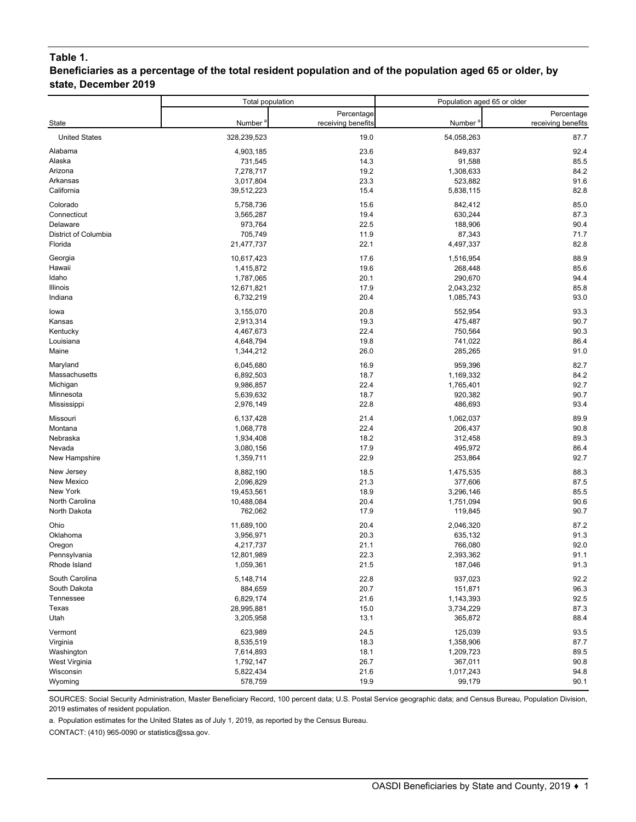## **Table 1.**

### **Beneficiaries as a percentage of the total resident population and of the population aged 65 or older, by state, December 2019**

|                             | Total population    |                    | Population aged 65 or older |                    |
|-----------------------------|---------------------|--------------------|-----------------------------|--------------------|
|                             |                     | Percentage         |                             | Percentage         |
| State                       | Number <sup>a</sup> | receiving benefits | Number <sup>®</sup>         | receiving benefits |
| <b>United States</b>        | 328,239,523         | 19.0               | 54,058,263                  | 87.7               |
| Alabama                     | 4,903,185           | 23.6               | 849,837                     | 92.4               |
| Alaska                      | 731,545             | 14.3               | 91,588                      | 85.5               |
| Arizona                     | 7,278,717           | 19.2               | 1,308,633                   | 84.2               |
| Arkansas                    | 3,017,804           | 23.3               | 523,882                     | 91.6               |
| California                  | 39,512,223          | 15.4               | 5,838,115                   | 82.8               |
| Colorado                    | 5,758,736           | 15.6               | 842,412                     | 85.0               |
| Connecticut                 | 3,565,287           | 19.4               | 630,244                     | 87.3               |
| Delaware                    | 973,764             | 22.5               | 188,906                     | 90.4               |
| <b>District of Columbia</b> | 705,749             | 11.9               | 87,343                      | 71.7               |
| Florida                     | 21,477,737          | 22.1               | 4,497,337                   | 82.8               |
| Georgia                     | 10,617,423          | 17.6               | 1,516,954                   | 88.9               |
| Hawaii                      | 1,415,872           | 19.6               | 268,448                     | 85.6               |
| Idaho                       | 1,787,065           | 20.1               | 290,670                     | 94.4               |
| Illinois                    | 12,671,821          | 17.9               | 2,043,232                   | 85.8               |
| Indiana                     | 6,732,219           | 20.4               | 1,085,743                   | 93.0               |
| lowa                        | 3,155,070           | 20.8               | 552,954                     | 93.3               |
| Kansas                      | 2,913,314           | 19.3               | 475,487                     | 90.7               |
| Kentucky                    | 4,467,673           | 22.4               | 750,564                     | 90.3               |
| Louisiana                   | 4,648,794           | 19.8               | 741,022                     | 86.4               |
| Maine                       | 1,344,212           | 26.0               | 285,265                     | 91.0               |
| Maryland                    | 6,045,680           | 16.9               | 959,396                     | 82.7               |
| Massachusetts               | 6,892,503           | 18.7               | 1,169,332                   | 84.2               |
| Michigan                    | 9,986,857           | 22.4               | 1,765,401                   | 92.7               |
| Minnesota                   | 5,639,632           | 18.7               | 920,382                     | 90.7               |
| Mississippi                 | 2,976,149           | 22.8               | 486,693                     | 93.4               |
| Missouri                    | 6,137,428           | 21.4               | 1,062,037                   | 89.9               |
| Montana                     | 1,068,778           | 22.4               | 206,437                     | 90.8               |
| Nebraska                    | 1,934,408           | 18.2               | 312,458                     | 89.3               |
| Nevada                      | 3,080,156           | 17.9               | 495,972                     | 86.4               |
| New Hampshire               | 1,359,711           | 22.9               | 253,864                     | 92.7               |
| New Jersey                  | 8,882,190           | 18.5               | 1,475,535                   | 88.3               |
| New Mexico                  | 2,096,829           | 21.3               | 377,606                     | 87.5               |
| New York                    | 19,453,561          | 18.9               | 3,296,146                   | 85.5               |
| North Carolina              | 10,488,084          | 20.4               | 1,751,094                   | 90.6               |
| North Dakota                | 762,062             | 17.9               | 119,845                     | 90.7               |
| Ohio                        | 11,689,100          | 20.4               | 2,046,320                   | 87.2               |
| Oklahoma                    | 3,956,971           | 20.3               | 635,132                     | 91.3               |
| Oregon                      | 4,217,737           | 21.1               | 766,080                     | 92.0               |
| Pennsylvania                | 12,801,989          | 22.3               | 2,393,362                   | 91.1               |
| Rhode Island                | 1,059,361           | 21.5               | 187,046                     | 91.3               |
| South Carolina              | 5,148,714           | 22.8               | 937,023                     | 92.2               |
| South Dakota                | 884,659             | 20.7               | 151,871                     | 96.3               |
| Tennessee                   | 6,829,174           | 21.6               |                             | 92.5               |
| Texas                       | 28,995,881          | 15.0               | 1,143,393<br>3,734,229      | 87.3               |
| Utah                        | 3,205,958           | 13.1               | 365,872                     | 88.4               |
|                             |                     |                    |                             |                    |
| Vermont                     | 623,989             | 24.5               | 125,039                     | 93.5               |
| Virginia                    | 8,535,519           | 18.3               | 1,358,906                   | 87.7               |
| Washington                  | 7,614,893           | 18.1               | 1,209,723                   | 89.5               |
| West Virginia               | 1,792,147           | 26.7               | 367,011                     | 90.8               |
| Wisconsin                   | 5,822,434           | 21.6               | 1,017,243                   | 94.8               |
| Wyoming                     | 578,759             | 19.9               | 99,179                      | 90.1               |

SOURCES: Social Security Administration, Master Beneficiary Record, 100 percent data; U.S. Postal Service geographic data; and Census Bureau, Population Division, 2019 estimates of resident population.

a. Population estimates for the United States as of July 1, 2019, as reported by the Census Bureau.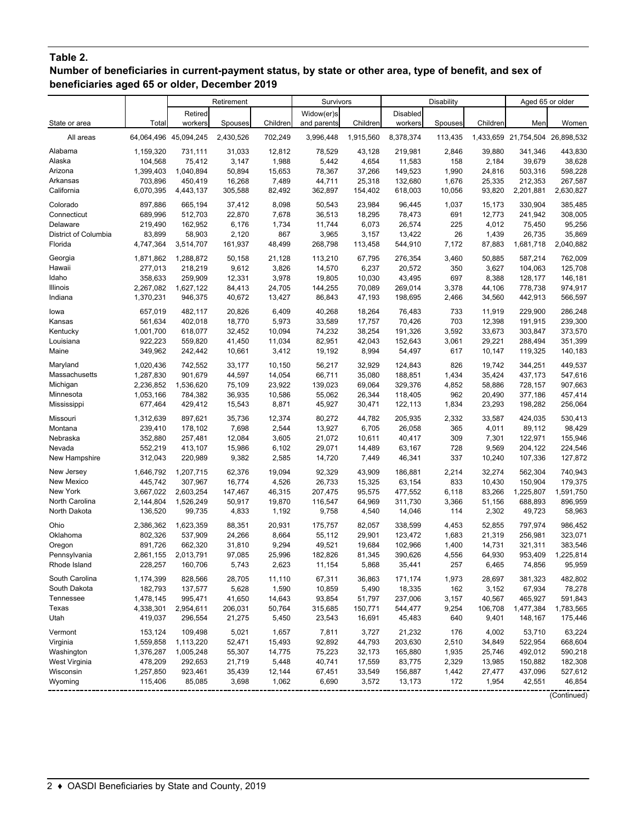# **Table 2.**

**Number of beneficiaries in current-payment status, by state or other area, type of benefit, and sex of beneficiaries aged 65 or older, December 2019**

|                      |           |                       | Retirement |          | Survivors   |           |           | Disability |          | Aged 65 or older                |             |
|----------------------|-----------|-----------------------|------------|----------|-------------|-----------|-----------|------------|----------|---------------------------------|-------------|
|                      |           | Retired               |            |          | Widow(er)s  |           | Disabled  |            |          |                                 |             |
| State or area        | Total     | workers               | Spouses    | Children | and parents | Children  | workers   | Spouses    | Children | Men                             | Women       |
| All areas            |           | 64,064,496 45,094,245 | 2,430,526  | 702,249  | 3,996,448   | 1,915,560 | 8,378,374 | 113,435    |          | 1,433,659 21,754,504 26,898,532 |             |
| Alabama              | 1,159,320 | 731,111               | 31,033     | 12,812   | 78,529      | 43,128    | 219,981   | 2,846      | 39,880   | 341,346                         | 443,830     |
| Alaska               | 104,568   | 75,412                | 3,147      | 1,988    | 5,442       | 4,654     | 11,583    | 158        | 2,184    | 39,679                          | 38,628      |
| Arizona              | 1,399,403 | 1,040,894             | 50,894     | 15,653   | 78,367      | 37,266    | 149,523   | 1,990      | 24,816   | 503,316                         | 598,228     |
| Arkansas             | 703,896   | 450,419               | 16,268     | 7,489    | 44,711      | 25,318    | 132,680   | 1,676      | 25,335   | 212,353                         | 267,587     |
| California           | 6,070,395 | 4,443,137             | 305,588    | 82,492   | 362,897     | 154,402   | 618,003   | 10,056     | 93,820   | 2,201,881                       | 2,630,827   |
| Colorado             | 897.886   | 665,194               | 37,412     | 8,098    | 50.543      | 23,984    | 96,445    | 1,037      | 15,173   | 330,904                         | 385,485     |
| Connecticut          | 689,996   | 512,703               | 22,870     | 7,678    | 36,513      | 18,295    | 78,473    | 691        | 12,773   | 241,942                         | 308,005     |
| Delaware             | 219,490   | 162,952               | 6,176      | 1,734    | 11,744      | 6,073     | 26,574    | 225        | 4,012    | 75,450                          | 95,256      |
| District of Columbia | 83,899    | 58,903                | 2,120      | 867      | 3,965       | 3,157     | 13,422    | 26         | 1,439    | 26,735                          | 35,869      |
| Florida              | 4,747,364 | 3,514,707             | 161,937    | 48,499   | 268,798     | 113,458   | 544,910   | 7,172      | 87,883   | 1,681,718                       | 2,040,882   |
| Georgia              | 1,871,862 | 1,288,872             | 50,158     | 21,128   | 113,210     | 67,795    | 276,354   | 3,460      | 50,885   | 587,214                         | 762,009     |
| Hawaii               | 277,013   | 218,219               | 9,612      | 3,826    | 14,570      | 6,237     | 20,572    | 350        | 3,627    | 104,063                         | 125,708     |
| Idaho                | 358,633   | 259,909               | 12,331     | 3,978    | 19,805      | 10,030    | 43,495    | 697        | 8,388    | 128,177                         | 146,181     |
| Illinois             | 2,267,082 | 1,627,122             | 84,413     | 24,705   | 144,255     | 70,089    | 269,014   | 3,378      | 44,106   | 778,738                         | 974,917     |
| Indiana              | 1,370,231 | 946,375               | 40,672     | 13,427   | 86,843      | 47,193    | 198,695   | 2,466      | 34,560   | 442,913                         | 566,597     |
| lowa                 | 657,019   | 482,117               | 20,826     | 6,409    | 40,268      | 18,264    | 76,483    | 733        | 11,919   | 229,900                         | 286,248     |
| Kansas               | 561,634   | 402,018               | 18,770     | 5,973    | 33,589      | 17,757    | 70,426    | 703        | 12,398   | 191,915                         | 239,300     |
| Kentucky             | 1,001,700 | 618,077               | 32,452     | 10,094   | 74,232      | 38,254    | 191,326   | 3,592      | 33,673   | 303,847                         | 373,570     |
| Louisiana            | 922,223   | 559,820               | 41,450     | 11,034   | 82,951      | 42,043    | 152,643   | 3,061      | 29,221   | 288,494                         | 351,399     |
| Maine                | 349,962   | 242,442               | 10,661     | 3,412    | 19,192      | 8,994     | 54,497    | 617        | 10,147   | 119,325                         | 140,183     |
| Maryland             | 1,020,436 | 742,552               | 33,177     | 10,150   | 56,217      | 32,929    | 124,843   | 826        | 19.742   | 344,251                         | 449,537     |
| Massachusetts        | 1,287,830 | 901,679               | 44,597     | 14,054   | 66,711      | 35,080    | 188,851   | 1,434      | 35,424   | 437,173                         | 547,616     |
| Michigan             | 2,236,852 | 1,536,620             | 75,109     | 23,922   | 139,023     | 69,064    | 329,376   | 4,852      | 58,886   | 728,157                         | 907,663     |
| Minnesota            | 1,053,166 | 784,382               | 36,935     | 10,586   | 55,062      | 26,344    | 118,405   | 962        | 20,490   | 377,186                         | 457,414     |
| Mississippi          | 677,464   | 429,412               | 15,543     | 8,871    | 45,927      | 30,471    | 122,113   | 1,834      | 23,293   | 198,282                         | 256,064     |
| Missouri             | 1,312,639 | 897,621               | 35,736     | 12,374   | 80,272      | 44,782    | 205,935   | 2,332      | 33,587   | 424,035                         | 530,413     |
| Montana              | 239,410   | 178,102               | 7,698      | 2,544    | 13,927      | 6,705     | 26,058    | 365        | 4,011    | 89,112                          | 98,429      |
| Nebraska             | 352,880   | 257,481               | 12,084     | 3,605    | 21,072      | 10,611    | 40,417    | 309        | 7,301    | 122,971                         | 155,946     |
| Nevada               | 552,219   | 413,107               | 15,986     | 6,102    | 29,071      | 14,489    | 63,167    | 728        | 9,569    | 204,122                         | 224,546     |
| New Hampshire        | 312,043   | 220,989               | 9,382      | 2,585    | 14,720      | 7,449     | 46,341    | 337        | 10,240   | 107,336                         | 127,872     |
| New Jersey           | 1,646,792 | 1,207,715             | 62,376     | 19,094   | 92,329      | 43,909    | 186,881   | 2,214      | 32,274   | 562,304                         | 740,943     |
| New Mexico           | 445,742   | 307,967               | 16,774     | 4,526    | 26,733      | 15,325    | 63,154    | 833        | 10,430   | 150,904                         | 179,375     |
| New York             | 3,667,022 | 2,603,254             | 147,467    | 46,315   | 207,475     | 95,575    | 477,552   | 6,118      | 83,266   | 1,225,807                       | 1,591,750   |
| North Carolina       | 2,144,804 | 1,526,249             | 50,917     | 19,870   | 116,547     | 64,969    | 311,730   | 3,366      | 51,156   | 688,893                         | 896,959     |
| North Dakota         | 136,520   | 99,735                | 4,833      | 1,192    | 9,758       | 4,540     | 14,046    | 114        | 2,302    | 49,723                          | 58,963      |
| Ohio                 | 2,386,362 | 1,623,359             | 88,351     | 20,931   | 175,757     | 82,057    | 338,599   | 4,453      | 52,855   | 797,974                         | 986,452     |
| Oklahoma             | 802,326   | 537,909               | 24,266     | 8,664    | 55,112      | 29,901    | 123,472   | 1,683      | 21,319   | 256,981                         | 323,071     |
| Oregon               | 891,726   | 662,320               | 31,810     | 9,294    | 49,521      | 19,684    | 102,966   | 1,400      | 14,731   | 321,311                         | 383,546     |
| Pennsylvania         | 2,861,155 | 2,013,791             | 97,085     | 25,996   | 182,826     | 81,345    | 390,626   | 4,556      | 64,930   | 953,409                         | 1,225,814   |
| Rhode Island         | 228,257   | 160,706               | 5,743      | 2,623    | 11,154      | 5,868     | 35,441    | 257        | 6,465    | 74,856                          | 95,959      |
| South Carolina       | 1,174,399 | 828,566               | 28,705     | 11,110   | 67,311      | 36,863    | 171,174   | 1,973      | 28,697   | 381,323                         | 482,802     |
| South Dakota         | 182,793   | 137,577               | 5,628      | 1,590    | 10,859      | 5,490     | 18,335    | 162        | 3,152    | 67,934                          | 78,278      |
| Tennessee            | 1,478,145 | 995,471               | 41,650     | 14,643   | 93,854      | 51,797    | 237,006   | 3,157      | 40,567   | 465,927                         | 591,843     |
| Texas                | 4,338,301 | 2,954,611             | 206,031    | 50,764   | 315,685     | 150,771   | 544,477   | 9,254      | 106,708  | 1,477,384                       | 1,783,565   |
| Utah                 | 419,037   | 296,554               | 21,275     | 5,450    | 23,543      | 16,691    | 45,483    | 640        | 9,401    | 148,167                         | 175,446     |
| Vermont              | 153,124   | 109,498               | 5,021      | 1,657    | 7,811       | 3,727     | 21,232    | 176        | 4,002    | 53,710                          | 63,224      |
| Virginia             | 1,559,858 | 1,113,220             | 52,471     | 15,493   | 92,892      | 44,793    | 203,630   | 2,510      | 34,849   | 522,954                         | 668,604     |
| Washington           | 1,376,287 | 1,005,248             | 55,307     | 14,775   | 75,223      | 32,173    | 165,880   | 1,935      | 25,746   | 492,012                         | 590,218     |
| West Virginia        | 478,209   | 292,653               | 21,719     | 5,448    | 40,741      | 17,559    | 83,775    | 2,329      | 13,985   | 150,882                         | 182,308     |
| Wisconsin            | 1,257,850 | 923,461               | 35,439     | 12,144   | 67,451      | 33,549    | 156,887   | 1,442      | 27,477   | 437,096                         | 527,612     |
| Wyoming              | 115,406   | 85,085                | 3,698      | 1,062    | 6,690       | 3,572     | 13,173    | 172        | 1,954    | 42,551                          | 46,854      |
|                      |           |                       |            |          |             |           |           |            |          |                                 | (Continued) |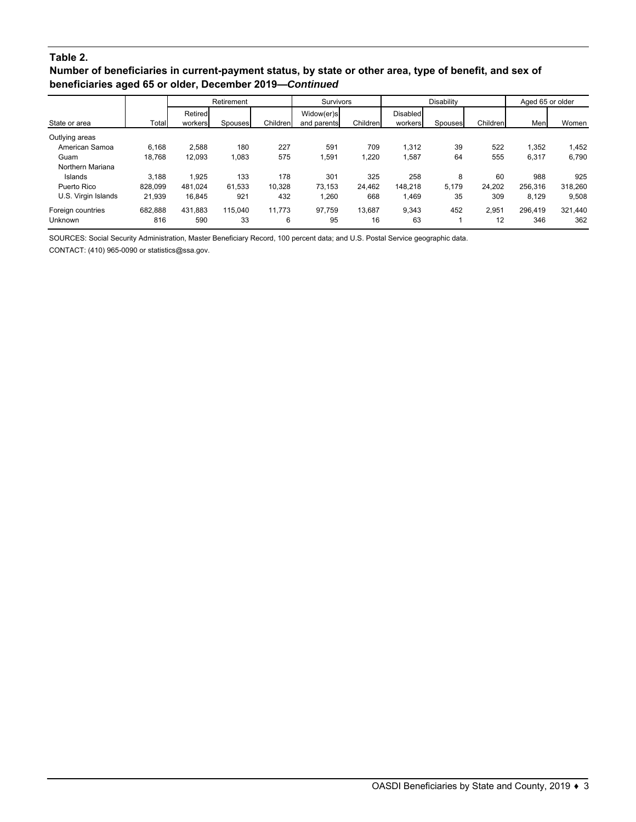### **Table 2.**

### **Number of beneficiaries in current-payment status, by state or other area, type of benefit, and sex of beneficiaries aged 65 or older, December 2019—***Continued*

|                     |         | Retirement |         |          | <b>Survivors</b> |          |                 | <b>Disability</b> |          | Aged 65 or older |         |
|---------------------|---------|------------|---------|----------|------------------|----------|-----------------|-------------------|----------|------------------|---------|
|                     |         | Retired    |         |          | Widow(er)s       |          | <b>Disabled</b> |                   |          |                  |         |
| State or area       | Total   | workers    | Spouses | Children | and parents      | Children | workers         | Spouses           | Children | Men              | Women   |
| Outlying areas      |         |            |         |          |                  |          |                 |                   |          |                  |         |
| American Samoa      | 6,168   | 2.588      | 180     | 227      | 591              | 709      | 1.312           | 39                | 522      | 1.352            | 1,452   |
| Guam                | 18.768  | 12,093     | 1,083   | 575      | 1,591            | 1,220    | 1,587           | 64                | 555      | 6,317            | 6,790   |
| Northern Mariana    |         |            |         |          |                  |          |                 |                   |          |                  |         |
| Islands             | 3.188   | 1.925      | 133     | 178      | 301              | 325      | 258             | 8                 | 60       | 988              | 925     |
| Puerto Rico         | 828.099 | 481.024    | 61.533  | 10.328   | 73.153           | 24.462   | 148.218         | 5.179             | 24.202   | 256.316          | 318.260 |
| U.S. Virgin Islands | 21,939  | 16.845     | 921     | 432      | 1,260            | 668      | 1.469           | 35                | 309      | 8,129            | 9,508   |
| Foreign countries   | 682.888 | 431.883    | 115.040 | 11.773   | 97.759           | 13.687   | 9.343           | 452               | 2.951    | 296.419          | 321.440 |
| <b>Unknown</b>      | 816     | 590        | 33      | 6        | 95               | 16       | 63              |                   | 12       | 346              | 362     |

SOURCES: Social Security Administration, Master Beneficiary Record, 100 percent data; and U.S. Postal Service geographic data.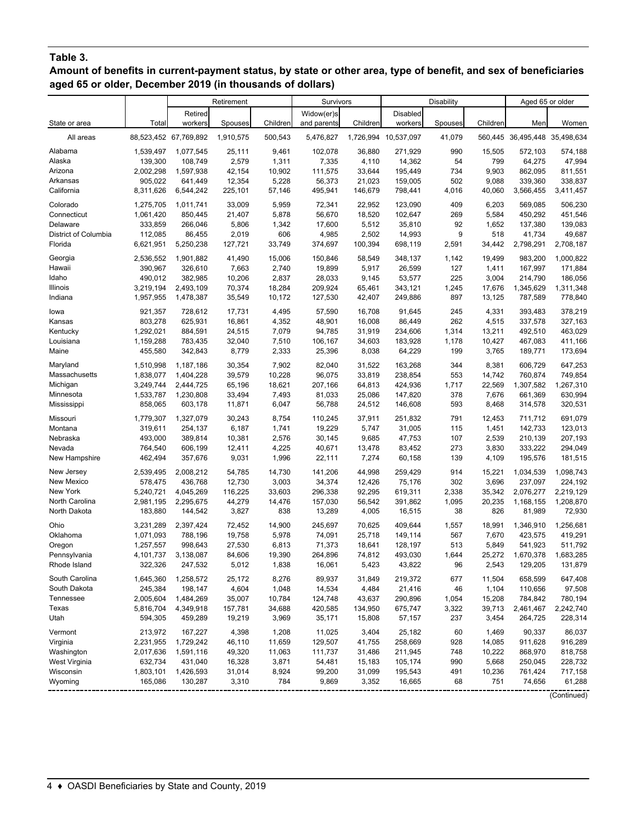## **Table 3.**

**Amount of benefits in current-payment status, by state or other area, type of benefit, and sex of beneficiaries aged 65 or older, December 2019 (in thousands of dollars)**

|                      |           |                       | Retirement |          | Survivors   |          |                      | <b>Disability</b> |          | Aged 65 or older              |             |
|----------------------|-----------|-----------------------|------------|----------|-------------|----------|----------------------|-------------------|----------|-------------------------------|-------------|
|                      |           | Retired               |            |          | Widow(er)s  |          | Disabled             |                   |          |                               |             |
| State or area        | Total     | workers               | Spouses    | Children | and parents | Children | workers              | Spouses           | Children | Men                           | Women       |
| All areas            |           | 88,523,452 67,769,892 | 1,910,575  | 500,543  | 5,476,827   |          | 1,726,994 10,537,097 | 41,079            |          | 560,445 36,495,448 35,498,634 |             |
| Alabama              | 1,539,497 | 1,077,545             | 25,111     | 9,461    | 102,078     | 36,880   | 271,929              | 990               | 15,505   | 572,103                       | 574,188     |
| Alaska               | 139,300   | 108,749               | 2,579      | 1,311    | 7,335       | 4,110    | 14,362               | 54                | 799      | 64,275                        | 47,994      |
| Arizona              | 2,002,298 | 1,597,938             | 42,154     | 10,902   | 111,575     | 33,644   | 195,449              | 734               | 9,903    | 862,095                       | 811,551     |
| Arkansas             | 905,022   | 641,449               | 12,354     | 5,228    | 56,373      | 21,023   | 159,005              | 502               | 9,088    | 339,360                       | 338,837     |
| California           | 8,311,626 | 6,544,242             | 225,101    | 57,146   | 495,941     | 146,679  | 798,441              | 4,016             | 40,060   | 3,566,455                     | 3,411,457   |
| Colorado             | 1,275,705 | 1,011,741             | 33,009     | 5,959    | 72,341      | 22,952   | 123,090              | 409               | 6,203    | 569,085                       | 506,230     |
| Connecticut          | 1,061,420 | 850,445               | 21,407     | 5,878    | 56,670      | 18,520   | 102,647              | 269               | 5,584    | 450,292                       | 451,546     |
| Delaware             | 333,859   | 266,046               | 5,806      | 1,342    | 17,600      | 5,512    | 35,810               | 92                | 1,652    | 137,380                       | 139,083     |
| District of Columbia | 112,085   | 86,455                | 2,019      | 606      | 4,985       | 2,502    | 14,993               | 9                 | 518      | 41,734                        | 49,687      |
| Florida              | 6,621,951 | 5,250,238             | 127,721    | 33,749   | 374,697     | 100,394  | 698,119              | 2,591             | 34.442   | 2,798,291                     | 2,708,187   |
| Georgia              | 2,536,552 | 1,901,882             | 41,490     | 15,006   | 150,846     | 58,549   | 348,137              | 1,142             | 19,499   | 983,200                       | 1,000,822   |
| Hawaii               | 390,967   | 326,610               | 7,663      | 2,740    | 19,899      | 5,917    | 26,599               | 127               | 1,411    | 167,997                       | 171,884     |
| Idaho                | 490,012   | 382,985               | 10,206     | 2,837    | 28,033      | 9,145    | 53,577               | 225               | 3,004    | 214,790                       | 186,056     |
| Illinois             | 3,219,194 | 2,493,109             | 70,374     | 18,284   | 209,924     | 65,461   | 343,121              | 1,245             | 17,676   | 1,345,629                     | 1,311,348   |
| Indiana              | 1,957,955 | 1,478,387             | 35,549     | 10,172   | 127,530     | 42,407   | 249,886              | 897               | 13,125   | 787,589                       | 778,840     |
| lowa                 | 921,357   | 728,612               | 17,731     | 4,495    | 57,590      | 16,708   | 91,645               | 245               | 4,331    | 393,483                       | 378,219     |
| Kansas               | 803,278   | 625,931               | 16,861     | 4,352    | 48,901      | 16,008   | 86,449               | 262               | 4,515    | 337,578                       | 327,163     |
| Kentucky             | 1,292,021 | 884,591               | 24,515     | 7,079    | 94,785      | 31,919   | 234,606              | 1,314             | 13,211   | 492,510                       | 463,029     |
| Louisiana            | 1,159,288 | 783,435               | 32,040     | 7,510    | 106,167     | 34,603   | 183,928              | 1,178             | 10,427   | 467,083                       | 411,166     |
| Maine                | 455,580   | 342,843               | 8,779      | 2,333    | 25,396      | 8,038    | 64,229               | 199               | 3,765    | 189,771                       | 173,694     |
| Maryland             | 1,510,998 | 1,187,186             | 30,354     | 7,902    | 82,040      | 31,522   | 163,268              | 344               | 8,381    | 606,729                       | 647,253     |
| Massachusetts        | 1,838,077 | 1,404,228             | 39,579     | 10,228   | 96,075      | 33,819   | 238,854              | 553               | 14,742   | 760,874                       | 749,854     |
| Michigan             | 3,249,744 | 2,444,725             | 65,196     | 18,621   | 207,166     | 64,813   | 424,936              | 1,717             | 22,569   | 1,307,582                     | 1,267,310   |
| Minnesota            | 1,533,787 | 1,230,808             | 33,494     | 7,493    | 81,033      | 25,086   | 147,820              | 378               | 7,676    | 661,369                       | 630,994     |
| Mississippi          | 858,065   | 603,178               | 11,871     | 6,047    | 56,788      | 24,512   | 146,608              | 593               | 8,468    | 314,578                       | 320,531     |
| Missouri             | 1,779,307 | 1,327,079             | 30,243     | 8,754    | 110,245     | 37,911   | 251,832              | 791               | 12,453   | 711,712                       | 691,079     |
| Montana              | 319,611   | 254,137               | 6,187      | 1,741    | 19,229      | 5,747    | 31,005               | 115               | 1,451    | 142,733                       | 123,013     |
| Nebraska             | 493,000   | 389,814               | 10,381     | 2,576    | 30,145      | 9,685    | 47,753               | 107               | 2,539    | 210,139                       | 207,193     |
| Nevada               | 764,540   | 606,199               | 12,411     | 4,225    | 40,671      | 13,478   | 83,452               | 273               | 3,830    | 333,222                       | 294,049     |
| New Hampshire        | 462,494   | 357,676               | 9,031      | 1,996    | 22,111      | 7,274    | 60,158               | 139               | 4,109    | 195,576                       | 181,515     |
| New Jersey           | 2,539,495 | 2,008,212             | 54,785     | 14,730   | 141,206     | 44,998   | 259,429              | 914               | 15,221   | 1,034,539                     | 1,098,743   |
| New Mexico           | 578,475   | 436,768               | 12,730     | 3,003    | 34,374      | 12,426   | 75,176               | 302               | 3,696    | 237,097                       | 224,192     |
| New York             | 5,240,721 | 4,045,269             | 116,225    | 33,603   | 296,338     | 92,295   | 619,311              | 2,338             | 35,342   | 2,076,277                     | 2,219,129   |
| North Carolina       | 2,981,195 | 2,295,675             | 44,279     | 14,476   | 157,030     | 56,542   | 391,862              | 1,095             | 20,235   | 1,168,155                     | 1,208,870   |
| North Dakota         | 183,880   | 144,542               | 3,827      | 838      | 13,289      | 4,005    | 16,515               | 38                | 826      | 81,989                        | 72,930      |
| Ohio                 | 3,231,289 | 2,397,424             | 72,452     | 14,900   | 245,697     | 70,625   | 409,644              | 1,557             | 18,991   | 1,346,910                     | 1,256,681   |
| Oklahoma             | 1,071,093 | 788,196               | 19,758     | 5,978    | 74,091      | 25,718   | 149,114              | 567               | 7,670    | 423,575                       | 419,291     |
| Oregon               | 1,257,557 | 998,643               | 27,530     | 6,813    | 71,373      | 18,641   | 128,197              | 513               | 5,849    | 541,923                       | 511,792     |
| Pennsylvania         | 4,101,737 | 3,138,087             | 84,606     | 19,390   | 264,896     | 74,812   | 493,030              | 1,644             | 25,272   | 1,670,378                     | 1,683,285   |
| Rhode Island         | 322,326   | 247,532               | 5,012      | 1,838    | 16,061      | 5,423    | 43,822               | 96                | 2,543    | 129,205                       | 131,879     |
| South Carolina       | 1,645,360 | 1,258,572             | 25,172     | 8,276    | 89,937      | 31,849   | 219,372              | 677               | 11,504   | 658,599                       | 647,408     |
| South Dakota         | 245,384   | 198,147               | 4,604      | 1,048    | 14,534      | 4,484    | 21,416               | 46                | 1,104    | 110,656                       | 97,508      |
| Tennessee            | 2,005,604 | 1,484,269             | 35,007     | 10,784   | 124,748     | 43,637   | 290,896              | 1,054             | 15,208   | 784,842                       | 780,194     |
| Texas                | 5,816,704 | 4,349,918             | 157,781    | 34,688   | 420,585     | 134,950  | 675,747              | 3,322             | 39,713   | 2,461,467                     | 2,242,740   |
| Utah                 | 594,305   | 459,289               | 19,219     | 3,969    | 35,171      | 15,808   | 57,157               | 237               | 3,454    | 264,725                       | 228,314     |
| Vermont              | 213,972   | 167,227               | 4,398      | 1,208    | 11,025      | 3,404    | 25,182               | 60                | 1,469    | 90,337                        | 86,037      |
| Virginia             | 2,231,955 | 1,729,242             | 46,110     | 11,659   | 129,507     | 41,755   | 258,669              | 928               | 14,085   | 911,628                       | 916,289     |
| Washington           | 2,017,636 | 1,591,116             | 49,320     | 11,063   | 111,737     | 31,486   | 211,945              | 748               | 10,222   | 868,970                       | 818,758     |
| West Virginia        | 632,734   | 431,040               | 16,328     | 3,871    | 54,481      | 15,183   | 105,174              | 990               | 5,668    | 250,045                       | 228,732     |
| Wisconsin            | 1,803,101 | 1,426,593             | 31,014     | 8,924    | 99,200      | 31,099   | 195,543              | 491               | 10,236   | 761,424                       | 717,158     |
| Wyoming              | 165,086   | 130,287               | 3,310      | 784      | 9,869       | 3,352    | 16,665               | 68                | 751      | 74,656                        | 61,288      |
|                      |           |                       |            |          |             |          |                      |                   |          |                               | (Continued) |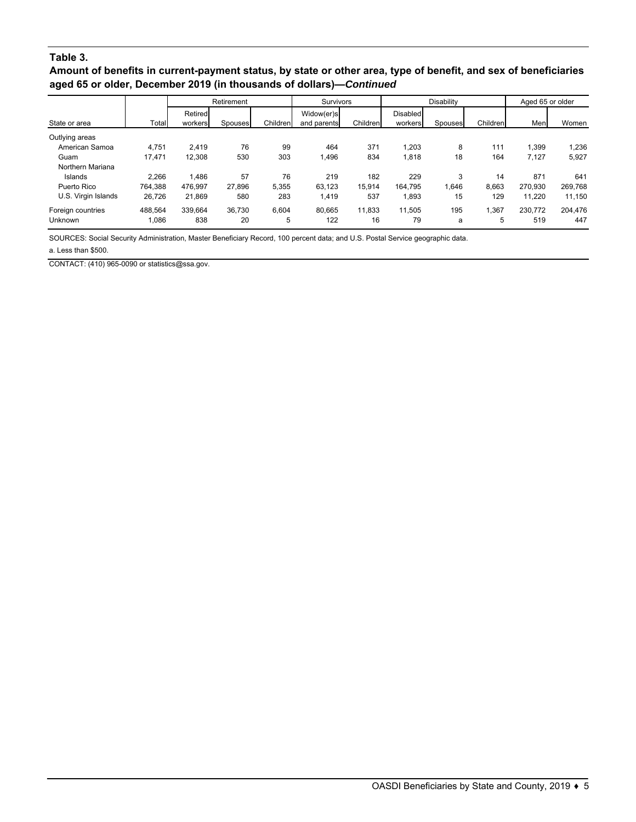### **Table 3.**

**Amount of benefits in current-payment status, by state or other area, type of benefit, and sex of beneficiaries aged 65 or older, December 2019 (in thousands of dollars)—***Continued*

|                     |         | Retirement |         |          | <b>Survivors</b> |          |                 | <b>Disability</b> |          | Aged 65 or older |         |  |
|---------------------|---------|------------|---------|----------|------------------|----------|-----------------|-------------------|----------|------------------|---------|--|
|                     |         | Retired    |         |          | Widow(er)s       |          | <b>Disabled</b> |                   |          |                  |         |  |
| State or area       | Total   | workers    | Spouses | Children | and parents      | Children | workers         | Spouses           | Children | Men              | Women   |  |
| Outlying areas      |         |            |         |          |                  |          |                 |                   |          |                  |         |  |
| American Samoa      | 4.751   | 2.419      | 76      | 99       | 464              | 371      | 1.203           | 8                 | 111      | 1,399            | 1,236   |  |
| Guam                | 17.471  | 12.308     | 530     | 303      | 1.496            | 834      | 1,818           | 18                | 164      | 7,127            | 5,927   |  |
| Northern Mariana    |         |            |         |          |                  |          |                 |                   |          |                  |         |  |
| Islands             | 2.266   | 1.486      | 57      | 76       | 219              | 182      | 229             | 3                 | 14       | 871              | 641     |  |
| Puerto Rico         | 764.388 | 476.997    | 27.896  | 5.355    | 63.123           | 15.914   | 164.795         | 1.646             | 8.663    | 270.930          | 269,768 |  |
| U.S. Virgin Islands | 26.726  | 21,869     | 580     | 283      | 1.419            | 537      | 1,893           | 15                | 129      | 11.220           | 11,150  |  |
| Foreign countries   | 488.564 | 339.664    | 36.730  | 6.604    | 80.665           | 11.833   | 11.505          | 195               | 1.367    | 230.772          | 204.476 |  |
| Unknown             | 1,086   | 838        | 20      | 5        | 122              | 16       | 79              | a                 | 5        | 519              | 447     |  |

SOURCES: Social Security Administration, Master Beneficiary Record, 100 percent data; and U.S. Postal Service geographic data.

a. Less than \$500.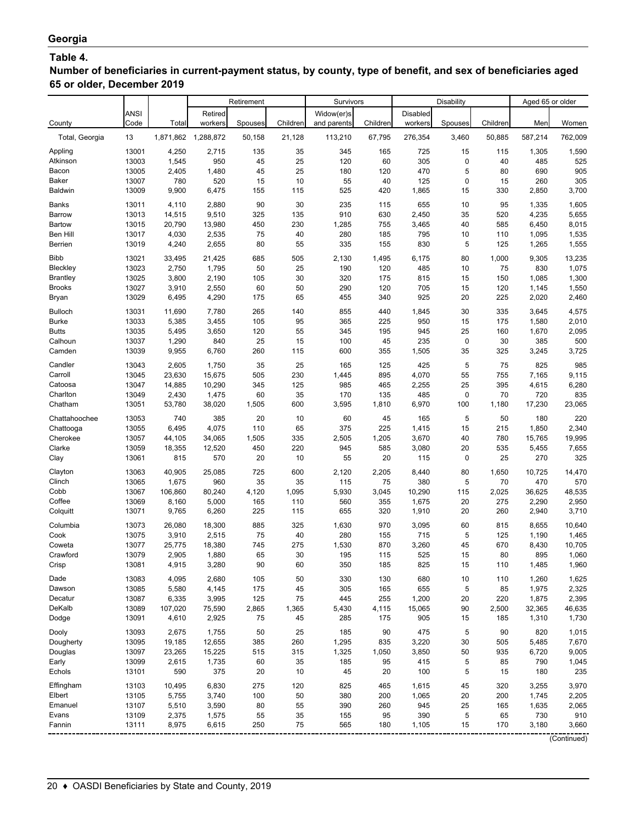# **Table 4.**

**Number of beneficiaries in current-payment status, by county, type of benefit, and sex of beneficiaries aged 65 or older, December 2019**

| Widow(er)s<br>Disabled<br><b>ANSI</b><br>Retired<br>County<br>Code<br>Total<br>workers<br>Children<br>Children<br>workers<br>Children<br>Women<br>Spouses<br>and parents<br>Spouses<br>Men<br>13<br>1,871,862<br>1,288,872<br>21,128<br>113,210<br>67,795<br>276,354<br>3,460<br>50,885<br>587,214<br>762,009<br>Total, Georgia<br>50,158<br>13001<br>4,250<br>2,715<br>135<br>35<br>345<br>165<br>725<br>15<br>1,305<br>1,590<br>115<br>Appling<br>950<br>25<br>120<br>$\pmb{0}$<br>13003<br>1,545<br>45<br>60<br>305<br>40<br>485<br>525<br>Atkinson<br>25<br>5<br>905<br>13005<br>2,405<br>45<br>180<br>470<br>80<br>690<br>1,480<br>120<br>Bacon<br>305<br>Baker<br>13007<br>780<br>520<br>15<br>10<br>55<br>40<br>125<br>0<br>15<br>260<br>3,700<br>13009<br>9,900<br>6,475<br>155<br>115<br>525<br>420<br>1,865<br>15<br>330<br>2,850<br><b>Baldwin</b><br>90<br>13011<br>2,880<br>30<br>235<br>655<br>10<br>1,605<br>Banks<br>4,110<br>115<br>95<br>1,335<br>14,515<br>9,510<br>325<br>910<br>2,450<br>35<br>5,655<br>Barrow<br>13013<br>135<br>630<br>520<br>4,235<br>8,015<br>Bartow<br>13015<br>20,790<br>13,980<br>450<br>230<br>1,285<br>755<br>3,465<br>40<br>585<br>6,450<br>Ben Hill<br>13017<br>4,030<br>2,535<br>75<br>40<br>280<br>185<br>795<br>10<br>110<br>1,535<br>1,095<br>335<br>5<br>13019<br>2,655<br>80<br>55<br>155<br>830<br>125<br>1,555<br>Berrien<br>4,240<br>1,265<br>685<br>505<br>80<br>13,235<br><b>Bibb</b><br>13021<br>33,495<br>21,425<br>2,130<br>1,495<br>6,175<br>1,000<br>9,305<br>Bleckley<br>50<br>1,075<br>13023<br>2,750<br>1,795<br>25<br>190<br>120<br>485<br>10<br>75<br>830<br>1,300<br>13025<br>3,800<br>2,190<br>105<br>30<br>320<br>175<br>815<br>15<br>150<br>1,085<br><b>Brantley</b><br>13027<br>2,550<br>60<br>50<br>290<br>120<br>705<br>15<br>120<br>1,550<br><b>Brooks</b><br>3,910<br>1,145<br>13029<br>2,460<br>6,495<br>4,290<br>175<br>65<br>455<br>340<br>925<br>20<br>225<br>2,020<br>Bryan<br>265<br>30<br><b>Bulloch</b><br>13031<br>11,690<br>7,780<br>140<br>855<br>440<br>1,845<br>335<br>4,575<br>3,645<br>2,010<br>13033<br>5,385<br>3,455<br>105<br>95<br>365<br>225<br>950<br><b>Burke</b><br>15<br>175<br>1,580<br>55<br>2,095<br>13035<br>3,650<br>120<br>345<br>945<br>25<br><b>Butts</b><br>5,495<br>195<br>160<br>1,670<br>500<br>Calhoun<br>13037<br>1,290<br>840<br>25<br>15<br>100<br>45<br>235<br>0<br>30<br>385<br>3,725<br>13039<br>9,955<br>6,760<br>260<br>115<br>600<br>1,505<br>35<br>325<br>3,245<br>Camden<br>355<br>25<br>425<br>825<br>985<br>13043<br>2,605<br>1,750<br>35<br>165<br>125<br>5<br>75<br>Candler<br>55<br>9,115<br>13045<br>23,630<br>15,675<br>505<br>230<br>1,445<br>895<br>4,070<br>755<br>7,165<br>Carroll<br>985<br>6,280<br>Catoosa<br>13047<br>14,885<br>10,290<br>345<br>125<br>465<br>2,255<br>25<br>395<br>4,615<br>835<br>13049<br>2,430<br>1,475<br>60<br>35<br>170<br>135<br>485<br>0<br>70<br>720<br>Charlton<br>13051<br>53,780<br>38,020<br>3,595<br>6,970<br>23,065<br>Chatham<br>1,505<br>600<br>1,810<br>100<br>1,180<br>17,230<br>5<br>740<br>385<br>20<br>60<br>220<br>Chattahoochee<br>13053<br>10<br>45<br>165<br>50<br>180<br>4,075<br>2,340<br>Chattooga<br>13055<br>6,495<br>110<br>65<br>375<br>225<br>1,415<br>15<br>215<br>1,850<br>19,995<br>13057<br>44,105<br>34,065<br>1,505<br>335<br>2,505<br>3,670<br>40<br>780<br>15,765<br>Cherokee<br>1,205<br>13059<br>18,355<br>12,520<br>450<br>220<br>945<br>585<br>3,080<br>20<br>5,455<br>7,655<br>Clarke<br>535<br>13061<br>815<br>570<br>20<br>10<br>55<br>20<br>0<br>270<br>325<br>Clay<br>115<br>25<br>Clayton<br>13063<br>40,905<br>25,085<br>725<br>600<br>2,120<br>2,205<br>8,440<br>80<br>1,650<br>10,725<br>14,470<br>13065<br>1,675<br>960<br>35<br>35<br>115<br>75<br>380<br>5<br>470<br>570<br>Clinch<br>70<br>13067<br>106,860<br>80,240<br>10,290<br>115<br>48,535<br>Cobb<br>4,120<br>1,095<br>5,930<br>3,045<br>2,025<br>36,625<br>Coffee<br>13069<br>5,000<br>560<br>20<br>2,950<br>8,160<br>165<br>110<br>355<br>1,675<br>275<br>2,290<br>3,710<br>Colquitt<br>13071<br>9,765<br>6,260<br>225<br>655<br>320<br>1,910<br>20<br>260<br>115<br>2,940<br>13073<br>26,080<br>18,300<br>885<br>325<br>1,630<br>970<br>3,095<br>60<br>815<br>10,640<br>Columbia<br>8,655<br>5<br>13075<br>3,910<br>2,515<br>75<br>40<br>280<br>715<br>1,465<br>Cook<br>155<br>125<br>1,190<br>13077<br>25,775<br>18,380<br>745<br>275<br>1,530<br>3,260<br>45<br>670<br>10,705<br>Coweta<br>870<br>8,430<br>Crawford<br>13079<br>2,905<br>1,880<br>65<br>30<br>195<br>525<br>15<br>80<br>895<br>1,060<br>115<br>350<br>1,960<br>13081<br>4,915<br>3,280<br>90<br>60<br>Crisp<br>185<br>825<br>15<br>110<br>1,485<br>50<br>13083<br>4,095<br>2,680<br>105<br>330<br>130<br>680<br>$10$<br>1,625<br>Dade<br>110<br>1,260<br>13085<br>175<br>45<br>305<br>655<br>2,325<br>Dawson<br>5,580<br>4,145<br>165<br>5<br>85<br>1,975<br>13087<br>75<br>Decatur<br>6,335<br>3,995<br>125<br>445<br>255<br>1,200<br>20<br>220<br>1,875<br>2,395<br>DeKalb<br>13089<br>2,865<br>1,365<br>5,430<br>90<br>46,635<br>107,020<br>75,590<br>4,115<br>15,065<br>2,500<br>32,365<br>13091<br>75<br>905<br>Dodge<br>4,610<br>2,925<br>45<br>285<br>175<br>15<br>185<br>1,310<br>1,730<br>13093<br>2,675<br>1,755<br>50<br>25<br>185<br>90<br>475<br>5<br>90<br>820<br>1,015<br>Dooly<br>13095<br>7,670<br>Dougherty<br>19,185<br>12,655<br>385<br>260<br>1,295<br>835<br>3,220<br>30<br>505<br>5,485<br>Douglas<br>13097<br>23,265<br>15,225<br>515<br>315<br>1,325<br>3,850<br>50<br>935<br>9,005<br>1,050<br>6,720<br>13099<br>2,615<br>1,735<br>60<br>35<br>415<br>5<br>1,045<br>Early<br>185<br>95<br>85<br>790<br>Echols<br>13101<br>590<br>375<br>20<br>10<br>45<br>20<br>100<br>5<br>180<br>235<br>15<br>Effingham<br>13103<br>6,830<br>275<br>120<br>825<br>465<br>45<br>320<br>3,970<br>10,495<br>1,615<br>3,255<br>Elbert<br>13105<br>3,740<br>100<br>50<br>380<br>20<br>200<br>2,205<br>5,755<br>200<br>1,065<br>1,745<br>Emanuel<br>13107<br>80<br>55<br>390<br>945<br>25<br>2,065<br>5,510<br>3,590<br>260<br>165<br>1,635<br>55<br>5<br>Evans<br>13109<br>2,375<br>1,575<br>35<br>155<br>95<br>390<br>730<br>910<br>65<br>75<br>565<br>3,180<br>3,660<br>Fannin<br>13111<br>8,975<br>6,615<br>250<br>180<br>1,105<br>15<br>170<br>(Continued) |  |  | Retirement | Survivors |  | Disability | Aged 65 or older |  |
|------------------------------------------------------------------------------------------------------------------------------------------------------------------------------------------------------------------------------------------------------------------------------------------------------------------------------------------------------------------------------------------------------------------------------------------------------------------------------------------------------------------------------------------------------------------------------------------------------------------------------------------------------------------------------------------------------------------------------------------------------------------------------------------------------------------------------------------------------------------------------------------------------------------------------------------------------------------------------------------------------------------------------------------------------------------------------------------------------------------------------------------------------------------------------------------------------------------------------------------------------------------------------------------------------------------------------------------------------------------------------------------------------------------------------------------------------------------------------------------------------------------------------------------------------------------------------------------------------------------------------------------------------------------------------------------------------------------------------------------------------------------------------------------------------------------------------------------------------------------------------------------------------------------------------------------------------------------------------------------------------------------------------------------------------------------------------------------------------------------------------------------------------------------------------------------------------------------------------------------------------------------------------------------------------------------------------------------------------------------------------------------------------------------------------------------------------------------------------------------------------------------------------------------------------------------------------------------------------------------------------------------------------------------------------------------------------------------------------------------------------------------------------------------------------------------------------------------------------------------------------------------------------------------------------------------------------------------------------------------------------------------------------------------------------------------------------------------------------------------------------------------------------------------------------------------------------------------------------------------------------------------------------------------------------------------------------------------------------------------------------------------------------------------------------------------------------------------------------------------------------------------------------------------------------------------------------------------------------------------------------------------------------------------------------------------------------------------------------------------------------------------------------------------------------------------------------------------------------------------------------------------------------------------------------------------------------------------------------------------------------------------------------------------------------------------------------------------------------------------------------------------------------------------------------------------------------------------------------------------------------------------------------------------------------------------------------------------------------------------------------------------------------------------------------------------------------------------------------------------------------------------------------------------------------------------------------------------------------------------------------------------------------------------------------------------------------------------------------------------------------------------------------------------------------------------------------------------------------------------------------------------------------------------------------------------------------------------------------------------------------------------------------------------------------------------------------------------------------------------------------------------------------------------------------------------------------------------------------------------------------------------------------------------------------------------------------------------------------------------------------------------------------------------------------------------------------------------------------------------------------------------------------------------------------------------------------------------------------------------------------------------------------------------------------------------------------------------------------------------------------------------------------------------------------------------------------------------------------------------------------------------------------------------------------------------------------------------------------------------------------------------------------------------------------------------------------------------------------------------------------------------------------------------------------------------------------------------------------------------------------------------------------------------------------------------------------|--|--|------------|-----------|--|------------|------------------|--|
|                                                                                                                                                                                                                                                                                                                                                                                                                                                                                                                                                                                                                                                                                                                                                                                                                                                                                                                                                                                                                                                                                                                                                                                                                                                                                                                                                                                                                                                                                                                                                                                                                                                                                                                                                                                                                                                                                                                                                                                                                                                                                                                                                                                                                                                                                                                                                                                                                                                                                                                                                                                                                                                                                                                                                                                                                                                                                                                                                                                                                                                                                                                                                                                                                                                                                                                                                                                                                                                                                                                                                                                                                                                                                                                                                                                                                                                                                                                                                                                                                                                                                                                                                                                                                                                                                                                                                                                                                                                                                                                                                                                                                                                                                                                                                                                                                                                                                                                                                                                                                                                                                                                                                                                                                                                                                                                                                                                                                                                                                                                                                                                                                                                                                                                                                                                                                                                                                                                                                                                                                                                                                                                                                                                                                                                                                                                              |  |  |            |           |  |            |                  |  |
|                                                                                                                                                                                                                                                                                                                                                                                                                                                                                                                                                                                                                                                                                                                                                                                                                                                                                                                                                                                                                                                                                                                                                                                                                                                                                                                                                                                                                                                                                                                                                                                                                                                                                                                                                                                                                                                                                                                                                                                                                                                                                                                                                                                                                                                                                                                                                                                                                                                                                                                                                                                                                                                                                                                                                                                                                                                                                                                                                                                                                                                                                                                                                                                                                                                                                                                                                                                                                                                                                                                                                                                                                                                                                                                                                                                                                                                                                                                                                                                                                                                                                                                                                                                                                                                                                                                                                                                                                                                                                                                                                                                                                                                                                                                                                                                                                                                                                                                                                                                                                                                                                                                                                                                                                                                                                                                                                                                                                                                                                                                                                                                                                                                                                                                                                                                                                                                                                                                                                                                                                                                                                                                                                                                                                                                                                                                              |  |  |            |           |  |            |                  |  |
|                                                                                                                                                                                                                                                                                                                                                                                                                                                                                                                                                                                                                                                                                                                                                                                                                                                                                                                                                                                                                                                                                                                                                                                                                                                                                                                                                                                                                                                                                                                                                                                                                                                                                                                                                                                                                                                                                                                                                                                                                                                                                                                                                                                                                                                                                                                                                                                                                                                                                                                                                                                                                                                                                                                                                                                                                                                                                                                                                                                                                                                                                                                                                                                                                                                                                                                                                                                                                                                                                                                                                                                                                                                                                                                                                                                                                                                                                                                                                                                                                                                                                                                                                                                                                                                                                                                                                                                                                                                                                                                                                                                                                                                                                                                                                                                                                                                                                                                                                                                                                                                                                                                                                                                                                                                                                                                                                                                                                                                                                                                                                                                                                                                                                                                                                                                                                                                                                                                                                                                                                                                                                                                                                                                                                                                                                                                              |  |  |            |           |  |            |                  |  |
|                                                                                                                                                                                                                                                                                                                                                                                                                                                                                                                                                                                                                                                                                                                                                                                                                                                                                                                                                                                                                                                                                                                                                                                                                                                                                                                                                                                                                                                                                                                                                                                                                                                                                                                                                                                                                                                                                                                                                                                                                                                                                                                                                                                                                                                                                                                                                                                                                                                                                                                                                                                                                                                                                                                                                                                                                                                                                                                                                                                                                                                                                                                                                                                                                                                                                                                                                                                                                                                                                                                                                                                                                                                                                                                                                                                                                                                                                                                                                                                                                                                                                                                                                                                                                                                                                                                                                                                                                                                                                                                                                                                                                                                                                                                                                                                                                                                                                                                                                                                                                                                                                                                                                                                                                                                                                                                                                                                                                                                                                                                                                                                                                                                                                                                                                                                                                                                                                                                                                                                                                                                                                                                                                                                                                                                                                                                              |  |  |            |           |  |            |                  |  |
|                                                                                                                                                                                                                                                                                                                                                                                                                                                                                                                                                                                                                                                                                                                                                                                                                                                                                                                                                                                                                                                                                                                                                                                                                                                                                                                                                                                                                                                                                                                                                                                                                                                                                                                                                                                                                                                                                                                                                                                                                                                                                                                                                                                                                                                                                                                                                                                                                                                                                                                                                                                                                                                                                                                                                                                                                                                                                                                                                                                                                                                                                                                                                                                                                                                                                                                                                                                                                                                                                                                                                                                                                                                                                                                                                                                                                                                                                                                                                                                                                                                                                                                                                                                                                                                                                                                                                                                                                                                                                                                                                                                                                                                                                                                                                                                                                                                                                                                                                                                                                                                                                                                                                                                                                                                                                                                                                                                                                                                                                                                                                                                                                                                                                                                                                                                                                                                                                                                                                                                                                                                                                                                                                                                                                                                                                                                              |  |  |            |           |  |            |                  |  |
|                                                                                                                                                                                                                                                                                                                                                                                                                                                                                                                                                                                                                                                                                                                                                                                                                                                                                                                                                                                                                                                                                                                                                                                                                                                                                                                                                                                                                                                                                                                                                                                                                                                                                                                                                                                                                                                                                                                                                                                                                                                                                                                                                                                                                                                                                                                                                                                                                                                                                                                                                                                                                                                                                                                                                                                                                                                                                                                                                                                                                                                                                                                                                                                                                                                                                                                                                                                                                                                                                                                                                                                                                                                                                                                                                                                                                                                                                                                                                                                                                                                                                                                                                                                                                                                                                                                                                                                                                                                                                                                                                                                                                                                                                                                                                                                                                                                                                                                                                                                                                                                                                                                                                                                                                                                                                                                                                                                                                                                                                                                                                                                                                                                                                                                                                                                                                                                                                                                                                                                                                                                                                                                                                                                                                                                                                                                              |  |  |            |           |  |            |                  |  |
|                                                                                                                                                                                                                                                                                                                                                                                                                                                                                                                                                                                                                                                                                                                                                                                                                                                                                                                                                                                                                                                                                                                                                                                                                                                                                                                                                                                                                                                                                                                                                                                                                                                                                                                                                                                                                                                                                                                                                                                                                                                                                                                                                                                                                                                                                                                                                                                                                                                                                                                                                                                                                                                                                                                                                                                                                                                                                                                                                                                                                                                                                                                                                                                                                                                                                                                                                                                                                                                                                                                                                                                                                                                                                                                                                                                                                                                                                                                                                                                                                                                                                                                                                                                                                                                                                                                                                                                                                                                                                                                                                                                                                                                                                                                                                                                                                                                                                                                                                                                                                                                                                                                                                                                                                                                                                                                                                                                                                                                                                                                                                                                                                                                                                                                                                                                                                                                                                                                                                                                                                                                                                                                                                                                                                                                                                                                              |  |  |            |           |  |            |                  |  |
|                                                                                                                                                                                                                                                                                                                                                                                                                                                                                                                                                                                                                                                                                                                                                                                                                                                                                                                                                                                                                                                                                                                                                                                                                                                                                                                                                                                                                                                                                                                                                                                                                                                                                                                                                                                                                                                                                                                                                                                                                                                                                                                                                                                                                                                                                                                                                                                                                                                                                                                                                                                                                                                                                                                                                                                                                                                                                                                                                                                                                                                                                                                                                                                                                                                                                                                                                                                                                                                                                                                                                                                                                                                                                                                                                                                                                                                                                                                                                                                                                                                                                                                                                                                                                                                                                                                                                                                                                                                                                                                                                                                                                                                                                                                                                                                                                                                                                                                                                                                                                                                                                                                                                                                                                                                                                                                                                                                                                                                                                                                                                                                                                                                                                                                                                                                                                                                                                                                                                                                                                                                                                                                                                                                                                                                                                                                              |  |  |            |           |  |            |                  |  |
|                                                                                                                                                                                                                                                                                                                                                                                                                                                                                                                                                                                                                                                                                                                                                                                                                                                                                                                                                                                                                                                                                                                                                                                                                                                                                                                                                                                                                                                                                                                                                                                                                                                                                                                                                                                                                                                                                                                                                                                                                                                                                                                                                                                                                                                                                                                                                                                                                                                                                                                                                                                                                                                                                                                                                                                                                                                                                                                                                                                                                                                                                                                                                                                                                                                                                                                                                                                                                                                                                                                                                                                                                                                                                                                                                                                                                                                                                                                                                                                                                                                                                                                                                                                                                                                                                                                                                                                                                                                                                                                                                                                                                                                                                                                                                                                                                                                                                                                                                                                                                                                                                                                                                                                                                                                                                                                                                                                                                                                                                                                                                                                                                                                                                                                                                                                                                                                                                                                                                                                                                                                                                                                                                                                                                                                                                                                              |  |  |            |           |  |            |                  |  |
|                                                                                                                                                                                                                                                                                                                                                                                                                                                                                                                                                                                                                                                                                                                                                                                                                                                                                                                                                                                                                                                                                                                                                                                                                                                                                                                                                                                                                                                                                                                                                                                                                                                                                                                                                                                                                                                                                                                                                                                                                                                                                                                                                                                                                                                                                                                                                                                                                                                                                                                                                                                                                                                                                                                                                                                                                                                                                                                                                                                                                                                                                                                                                                                                                                                                                                                                                                                                                                                                                                                                                                                                                                                                                                                                                                                                                                                                                                                                                                                                                                                                                                                                                                                                                                                                                                                                                                                                                                                                                                                                                                                                                                                                                                                                                                                                                                                                                                                                                                                                                                                                                                                                                                                                                                                                                                                                                                                                                                                                                                                                                                                                                                                                                                                                                                                                                                                                                                                                                                                                                                                                                                                                                                                                                                                                                                                              |  |  |            |           |  |            |                  |  |
|                                                                                                                                                                                                                                                                                                                                                                                                                                                                                                                                                                                                                                                                                                                                                                                                                                                                                                                                                                                                                                                                                                                                                                                                                                                                                                                                                                                                                                                                                                                                                                                                                                                                                                                                                                                                                                                                                                                                                                                                                                                                                                                                                                                                                                                                                                                                                                                                                                                                                                                                                                                                                                                                                                                                                                                                                                                                                                                                                                                                                                                                                                                                                                                                                                                                                                                                                                                                                                                                                                                                                                                                                                                                                                                                                                                                                                                                                                                                                                                                                                                                                                                                                                                                                                                                                                                                                                                                                                                                                                                                                                                                                                                                                                                                                                                                                                                                                                                                                                                                                                                                                                                                                                                                                                                                                                                                                                                                                                                                                                                                                                                                                                                                                                                                                                                                                                                                                                                                                                                                                                                                                                                                                                                                                                                                                                                              |  |  |            |           |  |            |                  |  |
|                                                                                                                                                                                                                                                                                                                                                                                                                                                                                                                                                                                                                                                                                                                                                                                                                                                                                                                                                                                                                                                                                                                                                                                                                                                                                                                                                                                                                                                                                                                                                                                                                                                                                                                                                                                                                                                                                                                                                                                                                                                                                                                                                                                                                                                                                                                                                                                                                                                                                                                                                                                                                                                                                                                                                                                                                                                                                                                                                                                                                                                                                                                                                                                                                                                                                                                                                                                                                                                                                                                                                                                                                                                                                                                                                                                                                                                                                                                                                                                                                                                                                                                                                                                                                                                                                                                                                                                                                                                                                                                                                                                                                                                                                                                                                                                                                                                                                                                                                                                                                                                                                                                                                                                                                                                                                                                                                                                                                                                                                                                                                                                                                                                                                                                                                                                                                                                                                                                                                                                                                                                                                                                                                                                                                                                                                                                              |  |  |            |           |  |            |                  |  |
|                                                                                                                                                                                                                                                                                                                                                                                                                                                                                                                                                                                                                                                                                                                                                                                                                                                                                                                                                                                                                                                                                                                                                                                                                                                                                                                                                                                                                                                                                                                                                                                                                                                                                                                                                                                                                                                                                                                                                                                                                                                                                                                                                                                                                                                                                                                                                                                                                                                                                                                                                                                                                                                                                                                                                                                                                                                                                                                                                                                                                                                                                                                                                                                                                                                                                                                                                                                                                                                                                                                                                                                                                                                                                                                                                                                                                                                                                                                                                                                                                                                                                                                                                                                                                                                                                                                                                                                                                                                                                                                                                                                                                                                                                                                                                                                                                                                                                                                                                                                                                                                                                                                                                                                                                                                                                                                                                                                                                                                                                                                                                                                                                                                                                                                                                                                                                                                                                                                                                                                                                                                                                                                                                                                                                                                                                                                              |  |  |            |           |  |            |                  |  |
|                                                                                                                                                                                                                                                                                                                                                                                                                                                                                                                                                                                                                                                                                                                                                                                                                                                                                                                                                                                                                                                                                                                                                                                                                                                                                                                                                                                                                                                                                                                                                                                                                                                                                                                                                                                                                                                                                                                                                                                                                                                                                                                                                                                                                                                                                                                                                                                                                                                                                                                                                                                                                                                                                                                                                                                                                                                                                                                                                                                                                                                                                                                                                                                                                                                                                                                                                                                                                                                                                                                                                                                                                                                                                                                                                                                                                                                                                                                                                                                                                                                                                                                                                                                                                                                                                                                                                                                                                                                                                                                                                                                                                                                                                                                                                                                                                                                                                                                                                                                                                                                                                                                                                                                                                                                                                                                                                                                                                                                                                                                                                                                                                                                                                                                                                                                                                                                                                                                                                                                                                                                                                                                                                                                                                                                                                                                              |  |  |            |           |  |            |                  |  |
|                                                                                                                                                                                                                                                                                                                                                                                                                                                                                                                                                                                                                                                                                                                                                                                                                                                                                                                                                                                                                                                                                                                                                                                                                                                                                                                                                                                                                                                                                                                                                                                                                                                                                                                                                                                                                                                                                                                                                                                                                                                                                                                                                                                                                                                                                                                                                                                                                                                                                                                                                                                                                                                                                                                                                                                                                                                                                                                                                                                                                                                                                                                                                                                                                                                                                                                                                                                                                                                                                                                                                                                                                                                                                                                                                                                                                                                                                                                                                                                                                                                                                                                                                                                                                                                                                                                                                                                                                                                                                                                                                                                                                                                                                                                                                                                                                                                                                                                                                                                                                                                                                                                                                                                                                                                                                                                                                                                                                                                                                                                                                                                                                                                                                                                                                                                                                                                                                                                                                                                                                                                                                                                                                                                                                                                                                                                              |  |  |            |           |  |            |                  |  |
|                                                                                                                                                                                                                                                                                                                                                                                                                                                                                                                                                                                                                                                                                                                                                                                                                                                                                                                                                                                                                                                                                                                                                                                                                                                                                                                                                                                                                                                                                                                                                                                                                                                                                                                                                                                                                                                                                                                                                                                                                                                                                                                                                                                                                                                                                                                                                                                                                                                                                                                                                                                                                                                                                                                                                                                                                                                                                                                                                                                                                                                                                                                                                                                                                                                                                                                                                                                                                                                                                                                                                                                                                                                                                                                                                                                                                                                                                                                                                                                                                                                                                                                                                                                                                                                                                                                                                                                                                                                                                                                                                                                                                                                                                                                                                                                                                                                                                                                                                                                                                                                                                                                                                                                                                                                                                                                                                                                                                                                                                                                                                                                                                                                                                                                                                                                                                                                                                                                                                                                                                                                                                                                                                                                                                                                                                                                              |  |  |            |           |  |            |                  |  |
|                                                                                                                                                                                                                                                                                                                                                                                                                                                                                                                                                                                                                                                                                                                                                                                                                                                                                                                                                                                                                                                                                                                                                                                                                                                                                                                                                                                                                                                                                                                                                                                                                                                                                                                                                                                                                                                                                                                                                                                                                                                                                                                                                                                                                                                                                                                                                                                                                                                                                                                                                                                                                                                                                                                                                                                                                                                                                                                                                                                                                                                                                                                                                                                                                                                                                                                                                                                                                                                                                                                                                                                                                                                                                                                                                                                                                                                                                                                                                                                                                                                                                                                                                                                                                                                                                                                                                                                                                                                                                                                                                                                                                                                                                                                                                                                                                                                                                                                                                                                                                                                                                                                                                                                                                                                                                                                                                                                                                                                                                                                                                                                                                                                                                                                                                                                                                                                                                                                                                                                                                                                                                                                                                                                                                                                                                                                              |  |  |            |           |  |            |                  |  |
|                                                                                                                                                                                                                                                                                                                                                                                                                                                                                                                                                                                                                                                                                                                                                                                                                                                                                                                                                                                                                                                                                                                                                                                                                                                                                                                                                                                                                                                                                                                                                                                                                                                                                                                                                                                                                                                                                                                                                                                                                                                                                                                                                                                                                                                                                                                                                                                                                                                                                                                                                                                                                                                                                                                                                                                                                                                                                                                                                                                                                                                                                                                                                                                                                                                                                                                                                                                                                                                                                                                                                                                                                                                                                                                                                                                                                                                                                                                                                                                                                                                                                                                                                                                                                                                                                                                                                                                                                                                                                                                                                                                                                                                                                                                                                                                                                                                                                                                                                                                                                                                                                                                                                                                                                                                                                                                                                                                                                                                                                                                                                                                                                                                                                                                                                                                                                                                                                                                                                                                                                                                                                                                                                                                                                                                                                                                              |  |  |            |           |  |            |                  |  |
|                                                                                                                                                                                                                                                                                                                                                                                                                                                                                                                                                                                                                                                                                                                                                                                                                                                                                                                                                                                                                                                                                                                                                                                                                                                                                                                                                                                                                                                                                                                                                                                                                                                                                                                                                                                                                                                                                                                                                                                                                                                                                                                                                                                                                                                                                                                                                                                                                                                                                                                                                                                                                                                                                                                                                                                                                                                                                                                                                                                                                                                                                                                                                                                                                                                                                                                                                                                                                                                                                                                                                                                                                                                                                                                                                                                                                                                                                                                                                                                                                                                                                                                                                                                                                                                                                                                                                                                                                                                                                                                                                                                                                                                                                                                                                                                                                                                                                                                                                                                                                                                                                                                                                                                                                                                                                                                                                                                                                                                                                                                                                                                                                                                                                                                                                                                                                                                                                                                                                                                                                                                                                                                                                                                                                                                                                                                              |  |  |            |           |  |            |                  |  |
|                                                                                                                                                                                                                                                                                                                                                                                                                                                                                                                                                                                                                                                                                                                                                                                                                                                                                                                                                                                                                                                                                                                                                                                                                                                                                                                                                                                                                                                                                                                                                                                                                                                                                                                                                                                                                                                                                                                                                                                                                                                                                                                                                                                                                                                                                                                                                                                                                                                                                                                                                                                                                                                                                                                                                                                                                                                                                                                                                                                                                                                                                                                                                                                                                                                                                                                                                                                                                                                                                                                                                                                                                                                                                                                                                                                                                                                                                                                                                                                                                                                                                                                                                                                                                                                                                                                                                                                                                                                                                                                                                                                                                                                                                                                                                                                                                                                                                                                                                                                                                                                                                                                                                                                                                                                                                                                                                                                                                                                                                                                                                                                                                                                                                                                                                                                                                                                                                                                                                                                                                                                                                                                                                                                                                                                                                                                              |  |  |            |           |  |            |                  |  |
|                                                                                                                                                                                                                                                                                                                                                                                                                                                                                                                                                                                                                                                                                                                                                                                                                                                                                                                                                                                                                                                                                                                                                                                                                                                                                                                                                                                                                                                                                                                                                                                                                                                                                                                                                                                                                                                                                                                                                                                                                                                                                                                                                                                                                                                                                                                                                                                                                                                                                                                                                                                                                                                                                                                                                                                                                                                                                                                                                                                                                                                                                                                                                                                                                                                                                                                                                                                                                                                                                                                                                                                                                                                                                                                                                                                                                                                                                                                                                                                                                                                                                                                                                                                                                                                                                                                                                                                                                                                                                                                                                                                                                                                                                                                                                                                                                                                                                                                                                                                                                                                                                                                                                                                                                                                                                                                                                                                                                                                                                                                                                                                                                                                                                                                                                                                                                                                                                                                                                                                                                                                                                                                                                                                                                                                                                                                              |  |  |            |           |  |            |                  |  |
|                                                                                                                                                                                                                                                                                                                                                                                                                                                                                                                                                                                                                                                                                                                                                                                                                                                                                                                                                                                                                                                                                                                                                                                                                                                                                                                                                                                                                                                                                                                                                                                                                                                                                                                                                                                                                                                                                                                                                                                                                                                                                                                                                                                                                                                                                                                                                                                                                                                                                                                                                                                                                                                                                                                                                                                                                                                                                                                                                                                                                                                                                                                                                                                                                                                                                                                                                                                                                                                                                                                                                                                                                                                                                                                                                                                                                                                                                                                                                                                                                                                                                                                                                                                                                                                                                                                                                                                                                                                                                                                                                                                                                                                                                                                                                                                                                                                                                                                                                                                                                                                                                                                                                                                                                                                                                                                                                                                                                                                                                                                                                                                                                                                                                                                                                                                                                                                                                                                                                                                                                                                                                                                                                                                                                                                                                                                              |  |  |            |           |  |            |                  |  |
|                                                                                                                                                                                                                                                                                                                                                                                                                                                                                                                                                                                                                                                                                                                                                                                                                                                                                                                                                                                                                                                                                                                                                                                                                                                                                                                                                                                                                                                                                                                                                                                                                                                                                                                                                                                                                                                                                                                                                                                                                                                                                                                                                                                                                                                                                                                                                                                                                                                                                                                                                                                                                                                                                                                                                                                                                                                                                                                                                                                                                                                                                                                                                                                                                                                                                                                                                                                                                                                                                                                                                                                                                                                                                                                                                                                                                                                                                                                                                                                                                                                                                                                                                                                                                                                                                                                                                                                                                                                                                                                                                                                                                                                                                                                                                                                                                                                                                                                                                                                                                                                                                                                                                                                                                                                                                                                                                                                                                                                                                                                                                                                                                                                                                                                                                                                                                                                                                                                                                                                                                                                                                                                                                                                                                                                                                                                              |  |  |            |           |  |            |                  |  |
|                                                                                                                                                                                                                                                                                                                                                                                                                                                                                                                                                                                                                                                                                                                                                                                                                                                                                                                                                                                                                                                                                                                                                                                                                                                                                                                                                                                                                                                                                                                                                                                                                                                                                                                                                                                                                                                                                                                                                                                                                                                                                                                                                                                                                                                                                                                                                                                                                                                                                                                                                                                                                                                                                                                                                                                                                                                                                                                                                                                                                                                                                                                                                                                                                                                                                                                                                                                                                                                                                                                                                                                                                                                                                                                                                                                                                                                                                                                                                                                                                                                                                                                                                                                                                                                                                                                                                                                                                                                                                                                                                                                                                                                                                                                                                                                                                                                                                                                                                                                                                                                                                                                                                                                                                                                                                                                                                                                                                                                                                                                                                                                                                                                                                                                                                                                                                                                                                                                                                                                                                                                                                                                                                                                                                                                                                                                              |  |  |            |           |  |            |                  |  |
|                                                                                                                                                                                                                                                                                                                                                                                                                                                                                                                                                                                                                                                                                                                                                                                                                                                                                                                                                                                                                                                                                                                                                                                                                                                                                                                                                                                                                                                                                                                                                                                                                                                                                                                                                                                                                                                                                                                                                                                                                                                                                                                                                                                                                                                                                                                                                                                                                                                                                                                                                                                                                                                                                                                                                                                                                                                                                                                                                                                                                                                                                                                                                                                                                                                                                                                                                                                                                                                                                                                                                                                                                                                                                                                                                                                                                                                                                                                                                                                                                                                                                                                                                                                                                                                                                                                                                                                                                                                                                                                                                                                                                                                                                                                                                                                                                                                                                                                                                                                                                                                                                                                                                                                                                                                                                                                                                                                                                                                                                                                                                                                                                                                                                                                                                                                                                                                                                                                                                                                                                                                                                                                                                                                                                                                                                                                              |  |  |            |           |  |            |                  |  |
|                                                                                                                                                                                                                                                                                                                                                                                                                                                                                                                                                                                                                                                                                                                                                                                                                                                                                                                                                                                                                                                                                                                                                                                                                                                                                                                                                                                                                                                                                                                                                                                                                                                                                                                                                                                                                                                                                                                                                                                                                                                                                                                                                                                                                                                                                                                                                                                                                                                                                                                                                                                                                                                                                                                                                                                                                                                                                                                                                                                                                                                                                                                                                                                                                                                                                                                                                                                                                                                                                                                                                                                                                                                                                                                                                                                                                                                                                                                                                                                                                                                                                                                                                                                                                                                                                                                                                                                                                                                                                                                                                                                                                                                                                                                                                                                                                                                                                                                                                                                                                                                                                                                                                                                                                                                                                                                                                                                                                                                                                                                                                                                                                                                                                                                                                                                                                                                                                                                                                                                                                                                                                                                                                                                                                                                                                                                              |  |  |            |           |  |            |                  |  |
|                                                                                                                                                                                                                                                                                                                                                                                                                                                                                                                                                                                                                                                                                                                                                                                                                                                                                                                                                                                                                                                                                                                                                                                                                                                                                                                                                                                                                                                                                                                                                                                                                                                                                                                                                                                                                                                                                                                                                                                                                                                                                                                                                                                                                                                                                                                                                                                                                                                                                                                                                                                                                                                                                                                                                                                                                                                                                                                                                                                                                                                                                                                                                                                                                                                                                                                                                                                                                                                                                                                                                                                                                                                                                                                                                                                                                                                                                                                                                                                                                                                                                                                                                                                                                                                                                                                                                                                                                                                                                                                                                                                                                                                                                                                                                                                                                                                                                                                                                                                                                                                                                                                                                                                                                                                                                                                                                                                                                                                                                                                                                                                                                                                                                                                                                                                                                                                                                                                                                                                                                                                                                                                                                                                                                                                                                                                              |  |  |            |           |  |            |                  |  |
|                                                                                                                                                                                                                                                                                                                                                                                                                                                                                                                                                                                                                                                                                                                                                                                                                                                                                                                                                                                                                                                                                                                                                                                                                                                                                                                                                                                                                                                                                                                                                                                                                                                                                                                                                                                                                                                                                                                                                                                                                                                                                                                                                                                                                                                                                                                                                                                                                                                                                                                                                                                                                                                                                                                                                                                                                                                                                                                                                                                                                                                                                                                                                                                                                                                                                                                                                                                                                                                                                                                                                                                                                                                                                                                                                                                                                                                                                                                                                                                                                                                                                                                                                                                                                                                                                                                                                                                                                                                                                                                                                                                                                                                                                                                                                                                                                                                                                                                                                                                                                                                                                                                                                                                                                                                                                                                                                                                                                                                                                                                                                                                                                                                                                                                                                                                                                                                                                                                                                                                                                                                                                                                                                                                                                                                                                                                              |  |  |            |           |  |            |                  |  |
|                                                                                                                                                                                                                                                                                                                                                                                                                                                                                                                                                                                                                                                                                                                                                                                                                                                                                                                                                                                                                                                                                                                                                                                                                                                                                                                                                                                                                                                                                                                                                                                                                                                                                                                                                                                                                                                                                                                                                                                                                                                                                                                                                                                                                                                                                                                                                                                                                                                                                                                                                                                                                                                                                                                                                                                                                                                                                                                                                                                                                                                                                                                                                                                                                                                                                                                                                                                                                                                                                                                                                                                                                                                                                                                                                                                                                                                                                                                                                                                                                                                                                                                                                                                                                                                                                                                                                                                                                                                                                                                                                                                                                                                                                                                                                                                                                                                                                                                                                                                                                                                                                                                                                                                                                                                                                                                                                                                                                                                                                                                                                                                                                                                                                                                                                                                                                                                                                                                                                                                                                                                                                                                                                                                                                                                                                                                              |  |  |            |           |  |            |                  |  |
|                                                                                                                                                                                                                                                                                                                                                                                                                                                                                                                                                                                                                                                                                                                                                                                                                                                                                                                                                                                                                                                                                                                                                                                                                                                                                                                                                                                                                                                                                                                                                                                                                                                                                                                                                                                                                                                                                                                                                                                                                                                                                                                                                                                                                                                                                                                                                                                                                                                                                                                                                                                                                                                                                                                                                                                                                                                                                                                                                                                                                                                                                                                                                                                                                                                                                                                                                                                                                                                                                                                                                                                                                                                                                                                                                                                                                                                                                                                                                                                                                                                                                                                                                                                                                                                                                                                                                                                                                                                                                                                                                                                                                                                                                                                                                                                                                                                                                                                                                                                                                                                                                                                                                                                                                                                                                                                                                                                                                                                                                                                                                                                                                                                                                                                                                                                                                                                                                                                                                                                                                                                                                                                                                                                                                                                                                                                              |  |  |            |           |  |            |                  |  |
|                                                                                                                                                                                                                                                                                                                                                                                                                                                                                                                                                                                                                                                                                                                                                                                                                                                                                                                                                                                                                                                                                                                                                                                                                                                                                                                                                                                                                                                                                                                                                                                                                                                                                                                                                                                                                                                                                                                                                                                                                                                                                                                                                                                                                                                                                                                                                                                                                                                                                                                                                                                                                                                                                                                                                                                                                                                                                                                                                                                                                                                                                                                                                                                                                                                                                                                                                                                                                                                                                                                                                                                                                                                                                                                                                                                                                                                                                                                                                                                                                                                                                                                                                                                                                                                                                                                                                                                                                                                                                                                                                                                                                                                                                                                                                                                                                                                                                                                                                                                                                                                                                                                                                                                                                                                                                                                                                                                                                                                                                                                                                                                                                                                                                                                                                                                                                                                                                                                                                                                                                                                                                                                                                                                                                                                                                                                              |  |  |            |           |  |            |                  |  |
|                                                                                                                                                                                                                                                                                                                                                                                                                                                                                                                                                                                                                                                                                                                                                                                                                                                                                                                                                                                                                                                                                                                                                                                                                                                                                                                                                                                                                                                                                                                                                                                                                                                                                                                                                                                                                                                                                                                                                                                                                                                                                                                                                                                                                                                                                                                                                                                                                                                                                                                                                                                                                                                                                                                                                                                                                                                                                                                                                                                                                                                                                                                                                                                                                                                                                                                                                                                                                                                                                                                                                                                                                                                                                                                                                                                                                                                                                                                                                                                                                                                                                                                                                                                                                                                                                                                                                                                                                                                                                                                                                                                                                                                                                                                                                                                                                                                                                                                                                                                                                                                                                                                                                                                                                                                                                                                                                                                                                                                                                                                                                                                                                                                                                                                                                                                                                                                                                                                                                                                                                                                                                                                                                                                                                                                                                                                              |  |  |            |           |  |            |                  |  |
|                                                                                                                                                                                                                                                                                                                                                                                                                                                                                                                                                                                                                                                                                                                                                                                                                                                                                                                                                                                                                                                                                                                                                                                                                                                                                                                                                                                                                                                                                                                                                                                                                                                                                                                                                                                                                                                                                                                                                                                                                                                                                                                                                                                                                                                                                                                                                                                                                                                                                                                                                                                                                                                                                                                                                                                                                                                                                                                                                                                                                                                                                                                                                                                                                                                                                                                                                                                                                                                                                                                                                                                                                                                                                                                                                                                                                                                                                                                                                                                                                                                                                                                                                                                                                                                                                                                                                                                                                                                                                                                                                                                                                                                                                                                                                                                                                                                                                                                                                                                                                                                                                                                                                                                                                                                                                                                                                                                                                                                                                                                                                                                                                                                                                                                                                                                                                                                                                                                                                                                                                                                                                                                                                                                                                                                                                                                              |  |  |            |           |  |            |                  |  |
|                                                                                                                                                                                                                                                                                                                                                                                                                                                                                                                                                                                                                                                                                                                                                                                                                                                                                                                                                                                                                                                                                                                                                                                                                                                                                                                                                                                                                                                                                                                                                                                                                                                                                                                                                                                                                                                                                                                                                                                                                                                                                                                                                                                                                                                                                                                                                                                                                                                                                                                                                                                                                                                                                                                                                                                                                                                                                                                                                                                                                                                                                                                                                                                                                                                                                                                                                                                                                                                                                                                                                                                                                                                                                                                                                                                                                                                                                                                                                                                                                                                                                                                                                                                                                                                                                                                                                                                                                                                                                                                                                                                                                                                                                                                                                                                                                                                                                                                                                                                                                                                                                                                                                                                                                                                                                                                                                                                                                                                                                                                                                                                                                                                                                                                                                                                                                                                                                                                                                                                                                                                                                                                                                                                                                                                                                                                              |  |  |            |           |  |            |                  |  |
|                                                                                                                                                                                                                                                                                                                                                                                                                                                                                                                                                                                                                                                                                                                                                                                                                                                                                                                                                                                                                                                                                                                                                                                                                                                                                                                                                                                                                                                                                                                                                                                                                                                                                                                                                                                                                                                                                                                                                                                                                                                                                                                                                                                                                                                                                                                                                                                                                                                                                                                                                                                                                                                                                                                                                                                                                                                                                                                                                                                                                                                                                                                                                                                                                                                                                                                                                                                                                                                                                                                                                                                                                                                                                                                                                                                                                                                                                                                                                                                                                                                                                                                                                                                                                                                                                                                                                                                                                                                                                                                                                                                                                                                                                                                                                                                                                                                                                                                                                                                                                                                                                                                                                                                                                                                                                                                                                                                                                                                                                                                                                                                                                                                                                                                                                                                                                                                                                                                                                                                                                                                                                                                                                                                                                                                                                                                              |  |  |            |           |  |            |                  |  |
|                                                                                                                                                                                                                                                                                                                                                                                                                                                                                                                                                                                                                                                                                                                                                                                                                                                                                                                                                                                                                                                                                                                                                                                                                                                                                                                                                                                                                                                                                                                                                                                                                                                                                                                                                                                                                                                                                                                                                                                                                                                                                                                                                                                                                                                                                                                                                                                                                                                                                                                                                                                                                                                                                                                                                                                                                                                                                                                                                                                                                                                                                                                                                                                                                                                                                                                                                                                                                                                                                                                                                                                                                                                                                                                                                                                                                                                                                                                                                                                                                                                                                                                                                                                                                                                                                                                                                                                                                                                                                                                                                                                                                                                                                                                                                                                                                                                                                                                                                                                                                                                                                                                                                                                                                                                                                                                                                                                                                                                                                                                                                                                                                                                                                                                                                                                                                                                                                                                                                                                                                                                                                                                                                                                                                                                                                                                              |  |  |            |           |  |            |                  |  |
|                                                                                                                                                                                                                                                                                                                                                                                                                                                                                                                                                                                                                                                                                                                                                                                                                                                                                                                                                                                                                                                                                                                                                                                                                                                                                                                                                                                                                                                                                                                                                                                                                                                                                                                                                                                                                                                                                                                                                                                                                                                                                                                                                                                                                                                                                                                                                                                                                                                                                                                                                                                                                                                                                                                                                                                                                                                                                                                                                                                                                                                                                                                                                                                                                                                                                                                                                                                                                                                                                                                                                                                                                                                                                                                                                                                                                                                                                                                                                                                                                                                                                                                                                                                                                                                                                                                                                                                                                                                                                                                                                                                                                                                                                                                                                                                                                                                                                                                                                                                                                                                                                                                                                                                                                                                                                                                                                                                                                                                                                                                                                                                                                                                                                                                                                                                                                                                                                                                                                                                                                                                                                                                                                                                                                                                                                                                              |  |  |            |           |  |            |                  |  |
|                                                                                                                                                                                                                                                                                                                                                                                                                                                                                                                                                                                                                                                                                                                                                                                                                                                                                                                                                                                                                                                                                                                                                                                                                                                                                                                                                                                                                                                                                                                                                                                                                                                                                                                                                                                                                                                                                                                                                                                                                                                                                                                                                                                                                                                                                                                                                                                                                                                                                                                                                                                                                                                                                                                                                                                                                                                                                                                                                                                                                                                                                                                                                                                                                                                                                                                                                                                                                                                                                                                                                                                                                                                                                                                                                                                                                                                                                                                                                                                                                                                                                                                                                                                                                                                                                                                                                                                                                                                                                                                                                                                                                                                                                                                                                                                                                                                                                                                                                                                                                                                                                                                                                                                                                                                                                                                                                                                                                                                                                                                                                                                                                                                                                                                                                                                                                                                                                                                                                                                                                                                                                                                                                                                                                                                                                                                              |  |  |            |           |  |            |                  |  |
|                                                                                                                                                                                                                                                                                                                                                                                                                                                                                                                                                                                                                                                                                                                                                                                                                                                                                                                                                                                                                                                                                                                                                                                                                                                                                                                                                                                                                                                                                                                                                                                                                                                                                                                                                                                                                                                                                                                                                                                                                                                                                                                                                                                                                                                                                                                                                                                                                                                                                                                                                                                                                                                                                                                                                                                                                                                                                                                                                                                                                                                                                                                                                                                                                                                                                                                                                                                                                                                                                                                                                                                                                                                                                                                                                                                                                                                                                                                                                                                                                                                                                                                                                                                                                                                                                                                                                                                                                                                                                                                                                                                                                                                                                                                                                                                                                                                                                                                                                                                                                                                                                                                                                                                                                                                                                                                                                                                                                                                                                                                                                                                                                                                                                                                                                                                                                                                                                                                                                                                                                                                                                                                                                                                                                                                                                                                              |  |  |            |           |  |            |                  |  |
|                                                                                                                                                                                                                                                                                                                                                                                                                                                                                                                                                                                                                                                                                                                                                                                                                                                                                                                                                                                                                                                                                                                                                                                                                                                                                                                                                                                                                                                                                                                                                                                                                                                                                                                                                                                                                                                                                                                                                                                                                                                                                                                                                                                                                                                                                                                                                                                                                                                                                                                                                                                                                                                                                                                                                                                                                                                                                                                                                                                                                                                                                                                                                                                                                                                                                                                                                                                                                                                                                                                                                                                                                                                                                                                                                                                                                                                                                                                                                                                                                                                                                                                                                                                                                                                                                                                                                                                                                                                                                                                                                                                                                                                                                                                                                                                                                                                                                                                                                                                                                                                                                                                                                                                                                                                                                                                                                                                                                                                                                                                                                                                                                                                                                                                                                                                                                                                                                                                                                                                                                                                                                                                                                                                                                                                                                                                              |  |  |            |           |  |            |                  |  |
|                                                                                                                                                                                                                                                                                                                                                                                                                                                                                                                                                                                                                                                                                                                                                                                                                                                                                                                                                                                                                                                                                                                                                                                                                                                                                                                                                                                                                                                                                                                                                                                                                                                                                                                                                                                                                                                                                                                                                                                                                                                                                                                                                                                                                                                                                                                                                                                                                                                                                                                                                                                                                                                                                                                                                                                                                                                                                                                                                                                                                                                                                                                                                                                                                                                                                                                                                                                                                                                                                                                                                                                                                                                                                                                                                                                                                                                                                                                                                                                                                                                                                                                                                                                                                                                                                                                                                                                                                                                                                                                                                                                                                                                                                                                                                                                                                                                                                                                                                                                                                                                                                                                                                                                                                                                                                                                                                                                                                                                                                                                                                                                                                                                                                                                                                                                                                                                                                                                                                                                                                                                                                                                                                                                                                                                                                                                              |  |  |            |           |  |            |                  |  |
|                                                                                                                                                                                                                                                                                                                                                                                                                                                                                                                                                                                                                                                                                                                                                                                                                                                                                                                                                                                                                                                                                                                                                                                                                                                                                                                                                                                                                                                                                                                                                                                                                                                                                                                                                                                                                                                                                                                                                                                                                                                                                                                                                                                                                                                                                                                                                                                                                                                                                                                                                                                                                                                                                                                                                                                                                                                                                                                                                                                                                                                                                                                                                                                                                                                                                                                                                                                                                                                                                                                                                                                                                                                                                                                                                                                                                                                                                                                                                                                                                                                                                                                                                                                                                                                                                                                                                                                                                                                                                                                                                                                                                                                                                                                                                                                                                                                                                                                                                                                                                                                                                                                                                                                                                                                                                                                                                                                                                                                                                                                                                                                                                                                                                                                                                                                                                                                                                                                                                                                                                                                                                                                                                                                                                                                                                                                              |  |  |            |           |  |            |                  |  |
|                                                                                                                                                                                                                                                                                                                                                                                                                                                                                                                                                                                                                                                                                                                                                                                                                                                                                                                                                                                                                                                                                                                                                                                                                                                                                                                                                                                                                                                                                                                                                                                                                                                                                                                                                                                                                                                                                                                                                                                                                                                                                                                                                                                                                                                                                                                                                                                                                                                                                                                                                                                                                                                                                                                                                                                                                                                                                                                                                                                                                                                                                                                                                                                                                                                                                                                                                                                                                                                                                                                                                                                                                                                                                                                                                                                                                                                                                                                                                                                                                                                                                                                                                                                                                                                                                                                                                                                                                                                                                                                                                                                                                                                                                                                                                                                                                                                                                                                                                                                                                                                                                                                                                                                                                                                                                                                                                                                                                                                                                                                                                                                                                                                                                                                                                                                                                                                                                                                                                                                                                                                                                                                                                                                                                                                                                                                              |  |  |            |           |  |            |                  |  |
|                                                                                                                                                                                                                                                                                                                                                                                                                                                                                                                                                                                                                                                                                                                                                                                                                                                                                                                                                                                                                                                                                                                                                                                                                                                                                                                                                                                                                                                                                                                                                                                                                                                                                                                                                                                                                                                                                                                                                                                                                                                                                                                                                                                                                                                                                                                                                                                                                                                                                                                                                                                                                                                                                                                                                                                                                                                                                                                                                                                                                                                                                                                                                                                                                                                                                                                                                                                                                                                                                                                                                                                                                                                                                                                                                                                                                                                                                                                                                                                                                                                                                                                                                                                                                                                                                                                                                                                                                                                                                                                                                                                                                                                                                                                                                                                                                                                                                                                                                                                                                                                                                                                                                                                                                                                                                                                                                                                                                                                                                                                                                                                                                                                                                                                                                                                                                                                                                                                                                                                                                                                                                                                                                                                                                                                                                                                              |  |  |            |           |  |            |                  |  |
|                                                                                                                                                                                                                                                                                                                                                                                                                                                                                                                                                                                                                                                                                                                                                                                                                                                                                                                                                                                                                                                                                                                                                                                                                                                                                                                                                                                                                                                                                                                                                                                                                                                                                                                                                                                                                                                                                                                                                                                                                                                                                                                                                                                                                                                                                                                                                                                                                                                                                                                                                                                                                                                                                                                                                                                                                                                                                                                                                                                                                                                                                                                                                                                                                                                                                                                                                                                                                                                                                                                                                                                                                                                                                                                                                                                                                                                                                                                                                                                                                                                                                                                                                                                                                                                                                                                                                                                                                                                                                                                                                                                                                                                                                                                                                                                                                                                                                                                                                                                                                                                                                                                                                                                                                                                                                                                                                                                                                                                                                                                                                                                                                                                                                                                                                                                                                                                                                                                                                                                                                                                                                                                                                                                                                                                                                                                              |  |  |            |           |  |            |                  |  |
|                                                                                                                                                                                                                                                                                                                                                                                                                                                                                                                                                                                                                                                                                                                                                                                                                                                                                                                                                                                                                                                                                                                                                                                                                                                                                                                                                                                                                                                                                                                                                                                                                                                                                                                                                                                                                                                                                                                                                                                                                                                                                                                                                                                                                                                                                                                                                                                                                                                                                                                                                                                                                                                                                                                                                                                                                                                                                                                                                                                                                                                                                                                                                                                                                                                                                                                                                                                                                                                                                                                                                                                                                                                                                                                                                                                                                                                                                                                                                                                                                                                                                                                                                                                                                                                                                                                                                                                                                                                                                                                                                                                                                                                                                                                                                                                                                                                                                                                                                                                                                                                                                                                                                                                                                                                                                                                                                                                                                                                                                                                                                                                                                                                                                                                                                                                                                                                                                                                                                                                                                                                                                                                                                                                                                                                                                                                              |  |  |            |           |  |            |                  |  |
|                                                                                                                                                                                                                                                                                                                                                                                                                                                                                                                                                                                                                                                                                                                                                                                                                                                                                                                                                                                                                                                                                                                                                                                                                                                                                                                                                                                                                                                                                                                                                                                                                                                                                                                                                                                                                                                                                                                                                                                                                                                                                                                                                                                                                                                                                                                                                                                                                                                                                                                                                                                                                                                                                                                                                                                                                                                                                                                                                                                                                                                                                                                                                                                                                                                                                                                                                                                                                                                                                                                                                                                                                                                                                                                                                                                                                                                                                                                                                                                                                                                                                                                                                                                                                                                                                                                                                                                                                                                                                                                                                                                                                                                                                                                                                                                                                                                                                                                                                                                                                                                                                                                                                                                                                                                                                                                                                                                                                                                                                                                                                                                                                                                                                                                                                                                                                                                                                                                                                                                                                                                                                                                                                                                                                                                                                                                              |  |  |            |           |  |            |                  |  |
|                                                                                                                                                                                                                                                                                                                                                                                                                                                                                                                                                                                                                                                                                                                                                                                                                                                                                                                                                                                                                                                                                                                                                                                                                                                                                                                                                                                                                                                                                                                                                                                                                                                                                                                                                                                                                                                                                                                                                                                                                                                                                                                                                                                                                                                                                                                                                                                                                                                                                                                                                                                                                                                                                                                                                                                                                                                                                                                                                                                                                                                                                                                                                                                                                                                                                                                                                                                                                                                                                                                                                                                                                                                                                                                                                                                                                                                                                                                                                                                                                                                                                                                                                                                                                                                                                                                                                                                                                                                                                                                                                                                                                                                                                                                                                                                                                                                                                                                                                                                                                                                                                                                                                                                                                                                                                                                                                                                                                                                                                                                                                                                                                                                                                                                                                                                                                                                                                                                                                                                                                                                                                                                                                                                                                                                                                                                              |  |  |            |           |  |            |                  |  |
|                                                                                                                                                                                                                                                                                                                                                                                                                                                                                                                                                                                                                                                                                                                                                                                                                                                                                                                                                                                                                                                                                                                                                                                                                                                                                                                                                                                                                                                                                                                                                                                                                                                                                                                                                                                                                                                                                                                                                                                                                                                                                                                                                                                                                                                                                                                                                                                                                                                                                                                                                                                                                                                                                                                                                                                                                                                                                                                                                                                                                                                                                                                                                                                                                                                                                                                                                                                                                                                                                                                                                                                                                                                                                                                                                                                                                                                                                                                                                                                                                                                                                                                                                                                                                                                                                                                                                                                                                                                                                                                                                                                                                                                                                                                                                                                                                                                                                                                                                                                                                                                                                                                                                                                                                                                                                                                                                                                                                                                                                                                                                                                                                                                                                                                                                                                                                                                                                                                                                                                                                                                                                                                                                                                                                                                                                                                              |  |  |            |           |  |            |                  |  |
|                                                                                                                                                                                                                                                                                                                                                                                                                                                                                                                                                                                                                                                                                                                                                                                                                                                                                                                                                                                                                                                                                                                                                                                                                                                                                                                                                                                                                                                                                                                                                                                                                                                                                                                                                                                                                                                                                                                                                                                                                                                                                                                                                                                                                                                                                                                                                                                                                                                                                                                                                                                                                                                                                                                                                                                                                                                                                                                                                                                                                                                                                                                                                                                                                                                                                                                                                                                                                                                                                                                                                                                                                                                                                                                                                                                                                                                                                                                                                                                                                                                                                                                                                                                                                                                                                                                                                                                                                                                                                                                                                                                                                                                                                                                                                                                                                                                                                                                                                                                                                                                                                                                                                                                                                                                                                                                                                                                                                                                                                                                                                                                                                                                                                                                                                                                                                                                                                                                                                                                                                                                                                                                                                                                                                                                                                                                              |  |  |            |           |  |            |                  |  |
|                                                                                                                                                                                                                                                                                                                                                                                                                                                                                                                                                                                                                                                                                                                                                                                                                                                                                                                                                                                                                                                                                                                                                                                                                                                                                                                                                                                                                                                                                                                                                                                                                                                                                                                                                                                                                                                                                                                                                                                                                                                                                                                                                                                                                                                                                                                                                                                                                                                                                                                                                                                                                                                                                                                                                                                                                                                                                                                                                                                                                                                                                                                                                                                                                                                                                                                                                                                                                                                                                                                                                                                                                                                                                                                                                                                                                                                                                                                                                                                                                                                                                                                                                                                                                                                                                                                                                                                                                                                                                                                                                                                                                                                                                                                                                                                                                                                                                                                                                                                                                                                                                                                                                                                                                                                                                                                                                                                                                                                                                                                                                                                                                                                                                                                                                                                                                                                                                                                                                                                                                                                                                                                                                                                                                                                                                                                              |  |  |            |           |  |            |                  |  |
|                                                                                                                                                                                                                                                                                                                                                                                                                                                                                                                                                                                                                                                                                                                                                                                                                                                                                                                                                                                                                                                                                                                                                                                                                                                                                                                                                                                                                                                                                                                                                                                                                                                                                                                                                                                                                                                                                                                                                                                                                                                                                                                                                                                                                                                                                                                                                                                                                                                                                                                                                                                                                                                                                                                                                                                                                                                                                                                                                                                                                                                                                                                                                                                                                                                                                                                                                                                                                                                                                                                                                                                                                                                                                                                                                                                                                                                                                                                                                                                                                                                                                                                                                                                                                                                                                                                                                                                                                                                                                                                                                                                                                                                                                                                                                                                                                                                                                                                                                                                                                                                                                                                                                                                                                                                                                                                                                                                                                                                                                                                                                                                                                                                                                                                                                                                                                                                                                                                                                                                                                                                                                                                                                                                                                                                                                                                              |  |  |            |           |  |            |                  |  |
|                                                                                                                                                                                                                                                                                                                                                                                                                                                                                                                                                                                                                                                                                                                                                                                                                                                                                                                                                                                                                                                                                                                                                                                                                                                                                                                                                                                                                                                                                                                                                                                                                                                                                                                                                                                                                                                                                                                                                                                                                                                                                                                                                                                                                                                                                                                                                                                                                                                                                                                                                                                                                                                                                                                                                                                                                                                                                                                                                                                                                                                                                                                                                                                                                                                                                                                                                                                                                                                                                                                                                                                                                                                                                                                                                                                                                                                                                                                                                                                                                                                                                                                                                                                                                                                                                                                                                                                                                                                                                                                                                                                                                                                                                                                                                                                                                                                                                                                                                                                                                                                                                                                                                                                                                                                                                                                                                                                                                                                                                                                                                                                                                                                                                                                                                                                                                                                                                                                                                                                                                                                                                                                                                                                                                                                                                                                              |  |  |            |           |  |            |                  |  |
|                                                                                                                                                                                                                                                                                                                                                                                                                                                                                                                                                                                                                                                                                                                                                                                                                                                                                                                                                                                                                                                                                                                                                                                                                                                                                                                                                                                                                                                                                                                                                                                                                                                                                                                                                                                                                                                                                                                                                                                                                                                                                                                                                                                                                                                                                                                                                                                                                                                                                                                                                                                                                                                                                                                                                                                                                                                                                                                                                                                                                                                                                                                                                                                                                                                                                                                                                                                                                                                                                                                                                                                                                                                                                                                                                                                                                                                                                                                                                                                                                                                                                                                                                                                                                                                                                                                                                                                                                                                                                                                                                                                                                                                                                                                                                                                                                                                                                                                                                                                                                                                                                                                                                                                                                                                                                                                                                                                                                                                                                                                                                                                                                                                                                                                                                                                                                                                                                                                                                                                                                                                                                                                                                                                                                                                                                                                              |  |  |            |           |  |            |                  |  |
|                                                                                                                                                                                                                                                                                                                                                                                                                                                                                                                                                                                                                                                                                                                                                                                                                                                                                                                                                                                                                                                                                                                                                                                                                                                                                                                                                                                                                                                                                                                                                                                                                                                                                                                                                                                                                                                                                                                                                                                                                                                                                                                                                                                                                                                                                                                                                                                                                                                                                                                                                                                                                                                                                                                                                                                                                                                                                                                                                                                                                                                                                                                                                                                                                                                                                                                                                                                                                                                                                                                                                                                                                                                                                                                                                                                                                                                                                                                                                                                                                                                                                                                                                                                                                                                                                                                                                                                                                                                                                                                                                                                                                                                                                                                                                                                                                                                                                                                                                                                                                                                                                                                                                                                                                                                                                                                                                                                                                                                                                                                                                                                                                                                                                                                                                                                                                                                                                                                                                                                                                                                                                                                                                                                                                                                                                                                              |  |  |            |           |  |            |                  |  |
|                                                                                                                                                                                                                                                                                                                                                                                                                                                                                                                                                                                                                                                                                                                                                                                                                                                                                                                                                                                                                                                                                                                                                                                                                                                                                                                                                                                                                                                                                                                                                                                                                                                                                                                                                                                                                                                                                                                                                                                                                                                                                                                                                                                                                                                                                                                                                                                                                                                                                                                                                                                                                                                                                                                                                                                                                                                                                                                                                                                                                                                                                                                                                                                                                                                                                                                                                                                                                                                                                                                                                                                                                                                                                                                                                                                                                                                                                                                                                                                                                                                                                                                                                                                                                                                                                                                                                                                                                                                                                                                                                                                                                                                                                                                                                                                                                                                                                                                                                                                                                                                                                                                                                                                                                                                                                                                                                                                                                                                                                                                                                                                                                                                                                                                                                                                                                                                                                                                                                                                                                                                                                                                                                                                                                                                                                                                              |  |  |            |           |  |            |                  |  |
|                                                                                                                                                                                                                                                                                                                                                                                                                                                                                                                                                                                                                                                                                                                                                                                                                                                                                                                                                                                                                                                                                                                                                                                                                                                                                                                                                                                                                                                                                                                                                                                                                                                                                                                                                                                                                                                                                                                                                                                                                                                                                                                                                                                                                                                                                                                                                                                                                                                                                                                                                                                                                                                                                                                                                                                                                                                                                                                                                                                                                                                                                                                                                                                                                                                                                                                                                                                                                                                                                                                                                                                                                                                                                                                                                                                                                                                                                                                                                                                                                                                                                                                                                                                                                                                                                                                                                                                                                                                                                                                                                                                                                                                                                                                                                                                                                                                                                                                                                                                                                                                                                                                                                                                                                                                                                                                                                                                                                                                                                                                                                                                                                                                                                                                                                                                                                                                                                                                                                                                                                                                                                                                                                                                                                                                                                                                              |  |  |            |           |  |            |                  |  |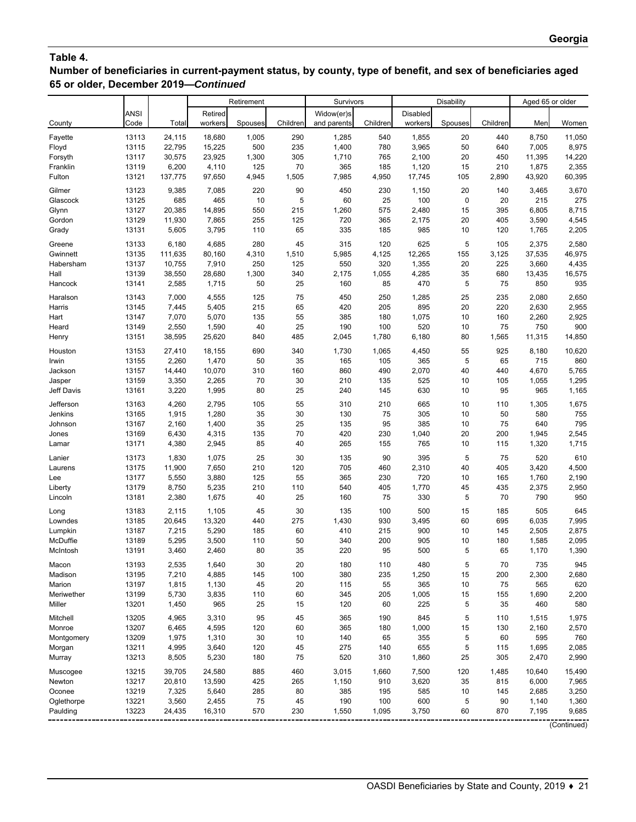# **Table 4.**

**Number of beneficiaries in current-payment status, by county, type of benefit, and sex of beneficiaries aged 65 or older, December 2019—***Continued*

|                |                |                 |                | Retirement |           | Survivors   |            |              | Disability |            | Aged 65 or older |                |
|----------------|----------------|-----------------|----------------|------------|-----------|-------------|------------|--------------|------------|------------|------------------|----------------|
|                | <b>ANSI</b>    |                 | Retired        |            |           | Widow(er)s  |            | Disabled     |            |            |                  |                |
| County         | Code           | Total           | workers        | Spouses    | Children  | and parents | Children   | workers      | Spouses    | Children   | Men              | Women          |
| Fayette        | 13113          | 24,115          | 18,680         | 1,005      | 290       | 1,285       | 540        | 1,855        | 20         | 440        | 8,750            | 11,050         |
| Floyd          | 13115          | 22,795          | 15,225         | 500        | 235       | 1,400       | 780        | 3,965        | 50         | 640        | 7,005            | 8,975          |
| Forsyth        | 13117          | 30,575          | 23,925         | 1,300      | 305       | 1,710       | 765        | 2,100        | 20         | 450        | 11,395           | 14,220         |
| Franklin       | 13119          | 6,200           | 4,110          | 125        | 70        | 365         | 185        | 1,120        | 15         | 210        | 1,875            | 2,355          |
| Fulton         | 13121          | 137,775         | 97,650         | 4,945      | 1,505     | 7,985       | 4,950      | 17,745       | 105        | 2,890      | 43,920           | 60,395         |
| Gilmer         | 13123          | 9,385           | 7,085          | 220        | 90        | 450         | 230        | 1,150        | 20         | 140        | 3,465            | 3,670          |
| Glascock       | 13125          | 685             | 465            | 10         | 5         | 60          | 25         | 100          | $\pmb{0}$  | 20         | 215              | 275            |
| Glynn          | 13127          | 20,385          | 14,895         | 550        | 215       | 1,260       | 575        | 2,480        | 15         | 395        | 6,805            | 8,715          |
| Gordon         | 13129          | 11,930          | 7,865          | 255        | 125       | 720         | 365        | 2,175        | 20         | 405        | 3,590            | 4,545          |
| Grady          | 13131          | 5,605           | 3,795          | 110        | 65        | 335         | 185        | 985          | 10         | 120        | 1,765            | 2,205          |
| Greene         | 13133          | 6,180           | 4,685          | 280        | 45        | 315         | 120        | 625          | 5          | 105        | 2,375            | 2,580          |
| Gwinnett       | 13135          | 111,635         | 80,160         | 4,310      | 1,510     | 5,985       | 4,125      | 12,265       | 155        | 3,125      | 37,535           | 46,975         |
| Habersham      | 13137          | 10,755          | 7,910          | 250        | 125       | 550         | 320        | 1,355        | 20         | 225        | 3,660            | 4,435          |
| Hall           | 13139          | 38,550          | 28,680         | 1,300      | 340       | 2,175       | 1,055      | 4,285        | 35         | 680        | 13,435           | 16,575         |
| Hancock        | 13141          | 2,585           | 1,715          | 50         | 25        | 160         | 85         | 470          | 5          | 75         | 850              | 935            |
| Haralson       | 13143          | 7,000           | 4,555          | 125        | 75        | 450         | 250        | 1,285        | 25         | 235        | 2,080            | 2,650          |
| Harris         | 13145          | 7,445           | 5,405          | 215        | 65        | 420         | 205        | 895          | 20         | 220        | 2,630            | 2,955          |
| Hart           | 13147          | 7,070           | 5,070          | 135        | 55        | 385         | 180        | 1,075        | 10         | 160        | 2,260            | 2,925          |
| Heard          | 13149          | 2,550           | 1,590          | 40         | 25        | 190         | 100        | 520          | 10         | 75         | 750              | 900            |
| Henry          | 13151          | 38,595          | 25,620         | 840        | 485       | 2,045       | 1,780      | 6,180        | 80         | 1,565      | 11,315           | 14,850         |
| Houston        | 13153          | 27,410          | 18,155         | 690        | 340       | 1,730       | 1,065      | 4,450        | 55         | 925        | 8,180            | 10,620         |
| Irwin          | 13155          | 2,260           | 1,470          | 50         | 35        | 165         | 105        | 365          | 5          | 65         | 715              | 860            |
| Jackson        | 13157          | 14,440          | 10,070         | 310        | 160       | 860         | 490        | 2,070        | 40         | 440        | 4,670            | 5,765          |
| Jasper         | 13159          | 3,350           | 2,265          | 70         | 30        | 210         | 135        | 525          | 10         | 105        | 1,055            | 1,295          |
| Jeff Davis     | 13161          | 3,220           | 1,995          | 80         | 25        | 240         | 145        | 630          | 10         | 95         | 965              | 1,165          |
| Jefferson      | 13163          | 4,260           | 2,795          | 105        | 55        | 310         | 210        | 665          | 10         | 110        | 1,305            | 1,675          |
| Jenkins        | 13165          | 1,915           | 1,280          | 35         | 30        | 130         | 75         | 305          | 10         | 50         | 580              | 755            |
| Johnson        | 13167          | 2,160           | 1,400          | 35         | 25<br>70  | 135         | 95         | 385          | 10         | 75         | 640              | 795<br>2,545   |
| Jones<br>Lamar | 13169<br>13171 | 6,430<br>4,380  | 4,315<br>2,945 | 135<br>85  | 40        | 420<br>265  | 230<br>155 | 1,040<br>765 | 20<br>10   | 200<br>115 | 1,945<br>1,320   | 1,715          |
|                |                |                 |                |            |           |             |            |              |            |            |                  |                |
| Lanier         | 13173          | 1,830           | 1,075          | 25         | 30        | 135<br>705  | 90         | 395          | 5          | 75         | 520              | 610            |
| Laurens<br>Lee | 13175<br>13177 | 11,900<br>5,550 | 7,650<br>3,880 | 210<br>125 | 120<br>55 | 365         | 460<br>230 | 2,310<br>720 | 40<br>10   | 405<br>165 | 3,420<br>1,760   | 4,500<br>2,190 |
| Liberty        | 13179          | 8,750           | 5,235          | 210        | 110       | 540         | 405        | 1,770        | 45         | 435        | 2,375            | 2,950          |
| Lincoln        | 13181          | 2,380           | 1,675          | 40         | 25        | 160         | 75         | 330          | 5          | 70         | 790              | 950            |
| Long           | 13183          | 2,115           | 1,105          | 45         | 30        | 135         | 100        | 500          | 15         | 185        | 505              | 645            |
| Lowndes        | 13185          | 20,645          | 13,320         | 440        | 275       | 1,430       | 930        | 3,495        | 60         | 695        | 6,035            | 7,995          |
| Lumpkin        | 13187          | 7,215           | 5,290          | 185        | 60        | 410         | 215        | 900          | 10         | 145        | 2,505            | 2,875          |
| McDuffie       | 13189          | 5,295           | 3,500          | 110        | 50        | 340         | 200        | 905          | 10         | 180        | 1,585            | 2,095          |
| McIntosh       | 13191          | 3,460           | 2,460          | 80         | 35        | 220         | 95         | 500          | 5          | 65         | 1,170            | 1,390          |
| Macon          | 13193          | 2,535           | 1,640          | 30         | 20        | 180         | 110        | 480          | 5          | 70         | 735              | 945            |
| Madison        | 13195          | 7,210           | 4,885          | 145        | 100       | 380         | 235        | 1,250        | 15         | 200        | 2,300            | 2,680          |
| Marion         | 13197          | 1,815           | 1,130          | 45         | 20        | 115         | 55         | 365          | 10         | 75         | 565              | 620            |
| Meriwether     | 13199          | 5,730           | 3,835          | 110        | 60        | 345         | 205        | 1,005        | 15         | 155        | 1,690            | 2,200          |
| Miller         | 13201          | 1,450           | 965            | 25         | 15        | 120         | 60         | 225          | 5          | 35         | 460              | 580            |
| Mitchell       | 13205          | 4,965           | 3,310          | 95         | 45        | 365         | 190        | 845          | 5          | 110        | 1,515            | 1,975          |
| Monroe         | 13207          | 6,465           | 4,595          | 120        | 60        | 365         | 180        | 1,000        | 15         | 130        | 2,160            | 2,570          |
| Montgomery     | 13209          | 1,975           | 1,310          | 30         | 10        | 140         | 65         | 355          | 5          | 60         | 595              | 760            |
| Morgan         | 13211          | 4,995           | 3,640          | 120        | 45        | 275         | 140        | 655          | 5          | 115        | 1,695            | 2,085          |
| Murray         | 13213          | 8,505           | 5,230          | 180        | 75        | 520         | 310        | 1,860        | 25         | 305        | 2,470            | 2,990          |
| Muscogee       | 13215          | 39,705          | 24,580         | 885        | 460       | 3,015       | 1,660      | 7,500        | 120        | 1,485      | 10,640           | 15,490         |
| Newton         | 13217          | 20,810          | 13,590         | 425        | 265       | 1,150       | 910        | 3,620        | 35         | 815        | 6,000            | 7,965          |
| Oconee         | 13219          | 7,325           | 5,640          | 285        | 80        | 385         | 195        | 585          | 10         | 145        | 2,685            | 3,250          |
| Oglethorpe     | 13221          | 3,560           | 2,455          | 75         | 45        | 190         | 100        | 600          | 5          | 90         | 1,140            | 1,360          |
| Paulding       | 13223          | 24,435          | 16,310         | 570        | 230       | 1,550       | 1,095      | 3,750        | 60         | 870        | 7,195            | 9,685          |

(Continued)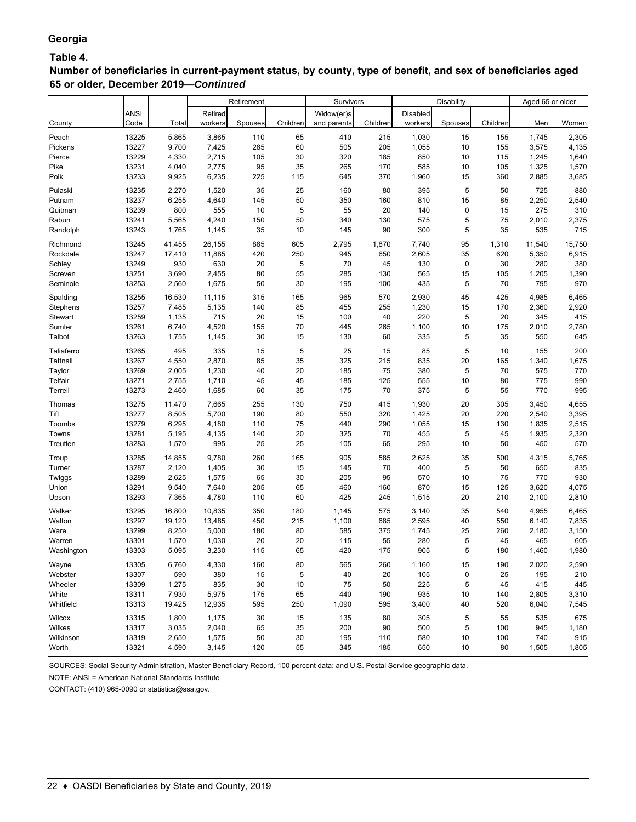## **Table 4.**

**Number of beneficiaries in current-payment status, by county, type of benefit, and sex of beneficiaries aged 65 or older, December 2019—***Continued*

|                 |       |        |         | Retirement |          | Survivors   |          |          | <b>Disability</b> |          | Aged 65 or older |        |
|-----------------|-------|--------|---------|------------|----------|-------------|----------|----------|-------------------|----------|------------------|--------|
|                 | ANSI  |        | Retired |            |          | Widow(er)s  |          | Disabled |                   |          |                  |        |
| County          | Code  | Total  | workers | Spouses    | Children | and parents | Children | workers  | Spouses           | Children | Men              | Women  |
| Peach           | 13225 | 5,865  | 3,865   | 110        | 65       | 410         | 215      | 1,030    | 15                | 155      | 1,745            | 2,305  |
| Pickens         | 13227 | 9,700  | 7,425   | 285        | 60       | 505         | 205      | 1,055    | 10                | 155      | 3,575            | 4,135  |
| Pierce          | 13229 | 4,330  | 2,715   | 105        | 30       | 320         | 185      | 850      | 10                | 115      | 1,245            | 1,640  |
| Pike            | 13231 | 4,040  | 2,775   | 95         | 35       | 265         | 170      | 585      | 10                | 105      | 1,325            | 1,570  |
| Polk            | 13233 | 9,925  | 6,235   | 225        | 115      | 645         | 370      | 1,960    | 15                | 360      | 2,885            | 3,685  |
| Pulaski         | 13235 | 2,270  | 1,520   | 35         | 25       | 160         | 80       | 395      | 5                 | 50       | 725              | 880    |
| Putnam          | 13237 | 6,255  | 4,640   | 145        | 50       | 350         | 160      | 810      | 15                | 85       | 2,250            | 2,540  |
| Quitman         | 13239 | 800    | 555     | 10         | 5        | 55          | 20       | 140      | 0                 | 15       | 275              | 310    |
| Rabun           | 13241 | 5,565  | 4,240   | 150        | 50       | 340         | 130      | 575      | 5                 | 75       | 2,010            | 2,375  |
| Randolph        | 13243 | 1,765  | 1,145   | 35         | 10       | 145         | 90       | 300      | 5                 | 35       | 535              | 715    |
| Richmond        | 13245 | 41,455 | 26,155  | 885        | 605      | 2,795       | 1,870    | 7,740    | 95                | 1,310    | 11,540           | 15,750 |
| Rockdale        | 13247 | 17,410 | 11,885  | 420        | 250      | 945         | 650      | 2,605    | 35                | 620      | 5,350            | 6,915  |
| Schley          | 13249 | 930    | 630     | 20         | 5        | 70          | 45       | 130      | 0                 | 30       | 280              | 380    |
| Screven         | 13251 | 3,690  | 2,455   | 80         | 55       | 285         | 130      | 565      | 15                | 105      | 1,205            | 1,390  |
| Seminole        | 13253 | 2,560  | 1,675   | 50         | 30       | 195         | 100      | 435      | 5                 | 70       | 795              | 970    |
| Spalding        | 13255 | 16,530 | 11,115  | 315        | 165      | 965         | 570      | 2,930    | 45                | 425      | 4,985            | 6,465  |
| Stephens        | 13257 | 7,485  | 5,135   | 140        | 85       | 455         | 255      | 1,230    | 15                | 170      | 2,360            | 2,920  |
| Stewart         | 13259 | 1,135  | 715     | 20         | 15       | 100         | 40       | 220      | 5                 | 20       | 345              | 415    |
| Sumter          | 13261 | 6,740  | 4,520   | 155        | 70       | 445         | 265      | 1,100    | 10                | 175      | 2,010            | 2,780  |
| Talbot          | 13263 | 1,755  | 1,145   | 30         | 15       | 130         | 60       | 335      | 5                 | 35       | 550              | 645    |
| Taliaferro      | 13265 | 495    | 335     | 15         | 5        | 25          | 15       | 85       | 5                 | 10       | 155              | 200    |
| <b>Tattnall</b> | 13267 | 4,550  | 2,870   | 85         | 35       | 325         | 215      | 835      | 20                | 165      | 1,340            | 1,675  |
| Taylor          | 13269 | 2,005  | 1,230   | 40         | 20       | 185         | 75       | 380      | 5                 | 70       | 575              | 770    |
| Telfair         | 13271 | 2,755  | 1,710   | 45         | 45       | 185         | 125      | 555      | 10                | 80       | 775              | 990    |
| Terrell         | 13273 | 2,460  | 1,685   | 60         | 35       | 175         | 70       | 375      | 5                 | 55       | 770              | 995    |
| Thomas          | 13275 | 11,470 | 7,665   | 255        | 130      | 750         | 415      | 1,930    | 20                | 305      | 3,450            | 4,655  |
| Tift            | 13277 | 8,505  | 5,700   | 190        | 80       | 550         | 320      | 1,425    | 20                | 220      | 2,540            | 3,395  |
| Toombs          | 13279 | 6,295  | 4,180   | 110        | 75       | 440         | 290      | 1,055    | 15                | 130      | 1,835            | 2,515  |
| Towns           | 13281 | 5,195  | 4,135   | 140        | 20       | 325         | 70       | 455      | 5                 | 45       | 1,935            | 2,320  |
| Treutlen        | 13283 | 1,570  | 995     | 25         | 25       | 105         | 65       | 295      | 10                | 50       | 450              | 570    |
| Troup           | 13285 | 14,855 | 9,780   | 260        | 165      | 905         | 585      | 2,625    | 35                | 500      | 4,315            | 5,765  |
| Turner          | 13287 | 2,120  | 1,405   | 30         | 15       | 145         | 70       | 400      | 5                 | 50       | 650              | 835    |
| Twiggs          | 13289 | 2,625  | 1,575   | 65         | 30       | 205         | 95       | 570      | 10                | 75       | 770              | 930    |
| Union           | 13291 | 9,540  | 7,640   | 205        | 65       | 460         | 160      | 870      | 15                | 125      | 3,620            | 4,075  |
| Upson           | 13293 | 7,365  | 4,780   | 110        | 60       | 425         | 245      | 1,515    | 20                | 210      | 2,100            | 2,810  |
| Walker          | 13295 | 16,800 | 10,835  | 350        | 180      | 1,145       | 575      | 3,140    | 35                | 540      | 4,955            | 6,465  |
| Walton          | 13297 | 19,120 | 13,485  | 450        | 215      | 1,100       | 685      | 2,595    | 40                | 550      | 6,140            | 7,835  |
| Ware            | 13299 | 8,250  | 5,000   | 180        | 80       | 585         | 375      | 1,745    | 25                | 260      | 2,180            | 3,150  |
| Warren          | 13301 | 1,570  | 1,030   | 20         | 20       | 115         | 55       | 280      | 5                 | 45       | 465              | 605    |
| Washington      | 13303 | 5,095  | 3,230   | 115        | 65       | 420         | 175      | 905      | 5                 | 180      | 1,460            | 1,980  |
| Wayne           | 13305 | 6,760  | 4,330   | 160        | 80       | 565         | 260      | 1,160    | 15                | 190      | 2,020            | 2,590  |
| Webster         | 13307 | 590    | 380     | 15         | 5        | 40          | 20       | 105      | 0                 | 25       | 195              | 210    |
| Wheeler         | 13309 | 1,275  | 835     | $30\,$     | 10       | 75          | 50       | 225      | 5                 | 45       | 415              | 445    |
| White           | 13311 | 7,930  | 5,975   | 175        | 65       | 440         | 190      | 935      | 10                | 140      | 2,805            | 3,310  |
| Whitfield       | 13313 | 19,425 | 12,935  | 595        | 250      | 1,090       | 595      | 3,400    | 40                | 520      | 6,040            | 7,545  |
| Wilcox          | 13315 | 1,800  | 1,175   | $30\,$     | 15       | 135         | 80       | 305      | 5                 | 55       | 535              | 675    |
| Wilkes          | 13317 | 3,035  | 2,040   | 65         | 35       | 200         | 90       | 500      | 5                 | 100      | 945              | 1,180  |
| Wilkinson       | 13319 | 2,650  | 1,575   | 50         | 30       | 195         | 110      | 580      | 10                | 100      | 740              | 915    |
| Worth           | 13321 | 4,590  | 3,145   | 120        | 55       | 345         | 185      | 650      | 10                | 80       | 1,505            | 1,805  |

SOURCES: Social Security Administration, Master Beneficiary Record, 100 percent data; and U.S. Postal Service geographic data.

NOTE: ANSI = American National Standards Institute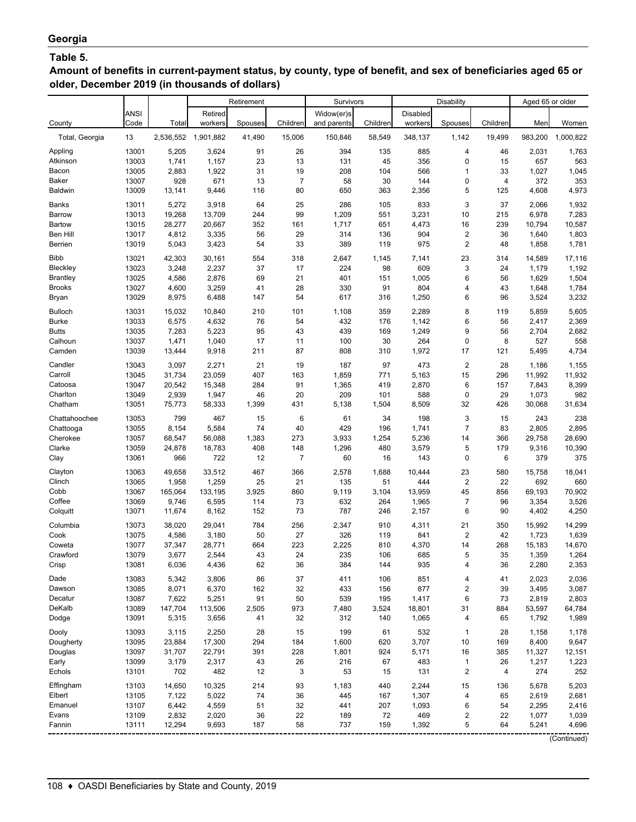## **Table 5.**

**Amount of benefits in current-payment status, by county, type of benefit, and sex of beneficiaries aged 65 or older, December 2019 (in thousands of dollars)**

|                   |                |                  |                     | Retirement  |                       | Survivors      |             |                | Disability                    |                      | Aged 65 or older |                 |
|-------------------|----------------|------------------|---------------------|-------------|-----------------------|----------------|-------------|----------------|-------------------------------|----------------------|------------------|-----------------|
|                   | <b>ANSI</b>    |                  | Retired             |             |                       | Widow(er)s     |             | Disabled       |                               |                      |                  |                 |
| County            | Code           | Total            | workers             | Spouses     | Children              | and parents    | Children    | workers        | Spouses                       | Children             | Men              | Women           |
| Total, Georgia    | 13             |                  | 2,536,552 1,901,882 | 41,490      | 15,006                | 150,846        | 58,549      | 348,137        | 1,142                         | 19,499               | 983,200          | 1,000,822       |
| Appling           | 13001          | 5,205            | 3,624               | 91          | 26                    | 394            | 135         | 885            | 4                             | 46                   | 2,031            | 1,763           |
| Atkinson          | 13003          | 1,741            | 1,157               | 23          | 13                    | 131            | 45          | 356            | 0                             | 15                   | 657              | 563             |
| Bacon<br>Baker    | 13005<br>13007 | 2,883<br>928     | 1,922<br>671        | 31<br>13    | 19<br>$\overline{7}$  | 208<br>58      | 104<br>30   | 566<br>144     | 1<br>0                        | 33<br>$\overline{4}$ | 1,027<br>372     | 1,045<br>353    |
| <b>Baldwin</b>    | 13009          | 13,141           | 9,446               | 116         | 80                    | 650            | 363         | 2,356          | 5                             | 125                  | 4,608            | 4,973           |
|                   |                |                  |                     |             |                       |                |             |                |                               |                      |                  |                 |
| Banks             | 13011          | 5,272            | 3,918               | 64          | 25                    | 286            | 105         | 833            | 3                             | 37                   | 2,066            | 1,932           |
| Barrow<br>Bartow  | 13013<br>13015 | 19,268<br>28,277 | 13,709<br>20,667    | 244<br>352  | 99<br>161             | 1,209<br>1,717 | 551<br>651  | 3,231<br>4,473 | 10<br>16                      | 215<br>239           | 6,978<br>10,794  | 7,283<br>10,587 |
| Ben Hill          | 13017          | 4,812            | 3,335               | 56          | 29                    | 314            | 136         | 904            | 2                             | 36                   | 1,640            | 1,803           |
| Berrien           | 13019          | 5,043            | 3,423               | 54          | 33                    | 389            | 119         | 975            | $\overline{\mathbf{c}}$       | 48                   | 1,858            | 1,781           |
| <b>Bibb</b>       | 13021          | 42,303           | 30,161              | 554         | 318                   | 2,647          | 1,145       | 7,141          | 23                            | 314                  | 14,589           | 17,116          |
| Bleckley          | 13023          | 3,248            | 2,237               | 37          | 17                    | 224            | 98          | 609            | 3                             | 24                   | 1,179            | 1,192           |
| <b>Brantley</b>   | 13025          | 4,586            | 2,876               | 69          | 21                    | 401            | 151         | 1,005          | 6                             | 56                   | 1,629            | 1,504           |
| <b>Brooks</b>     | 13027          | 4,600            | 3,259               | 41          | 28                    | 330            | 91          | 804            | 4                             | 43                   | 1,648            | 1,784           |
| Bryan             | 13029          | 8,975            | 6,488               | 147         | 54                    | 617            | 316         | 1,250          | 6                             | 96                   | 3,524            | 3,232           |
| <b>Bulloch</b>    | 13031          | 15,032           | 10,840              | 210         | 101                   | 1,108          | 359         | 2,289          | 8                             | 119                  | 5,859            | 5,605           |
| <b>Burke</b>      | 13033          | 6,575            | 4,632               | 76          | 54                    | 432            | 176         | 1,142          | 6                             | 56                   | 2,417            | 2,369           |
| <b>Butts</b>      | 13035          | 7,283            | 5,223               | 95          | 43                    | 439            | 169         | 1,249          | 9                             | 56                   | 2,704            | 2,682           |
| Calhoun           | 13037          | 1,471            | 1,040               | 17          | 11                    | 100            | 30          | 264            | 0                             | 8                    | 527              | 558             |
| Camden            | 13039          | 13,444           | 9,918               | 211         | 87                    | 808            | 310         | 1,972          | 17                            | 121                  | 5,495            | 4,734           |
| Candler           | 13043          | 3,097            | 2,271               | 21          | 19                    | 187            | 97          | 473            | $\overline{\mathbf{c}}$       | 28                   | 1,186            | 1,155           |
| Carroll           | 13045          | 31,734           | 23,059              | 407         | 163                   | 1,859          | 771         | 5,163          | 15                            | 296                  | 11,992           | 11,932          |
| Catoosa           | 13047          | 20,542           | 15,348              | 284         | 91                    | 1,365          | 419         | 2,870          | 6                             | 157                  | 7,843            | 8,399           |
| Charlton          | 13049          | 2,939            | 1,947               | 46          | 20                    | 209            | 101         | 588            | 0                             | 29                   | 1,073            | 982             |
| Chatham           | 13051          | 75,773           | 58,333              | 1,399       | 431                   | 5,138          | 1,504       | 8,509          | 32                            | 426                  | 30,068           | 31,634          |
| Chattahoochee     | 13053          | 799              | 467                 | 15          | 6                     | 61             | 34          | 198            | 3                             | 15                   | 243              | 238             |
| Chattooga         | 13055          | 8,154            | 5,584               | 74          | 40                    | 429            | 196         | 1,741          | $\overline{7}$                | 83                   | 2,805            | 2,895           |
| Cherokee          | 13057          | 68,547           | 56,088              | 1,383       | 273                   | 3,933          | 1,254       | 5,236          | 14                            | 366                  | 29,758           | 28,690          |
| Clarke<br>Clay    | 13059<br>13061 | 24,878<br>966    | 18,783<br>722       | 408<br>12   | 148<br>$\overline{7}$ | 1,296<br>60    | 480<br>16   | 3,579<br>143   | 5<br>0                        | 179<br>6             | 9,316<br>379     | 10,390<br>375   |
|                   |                |                  |                     |             |                       |                |             |                |                               |                      |                  |                 |
| Clayton           | 13063          | 49,658           | 33,512              | 467         | 366                   | 2,578          | 1,688       | 10,444         | 23                            | 580                  | 15,758           | 18,041          |
| Clinch<br>Cobb    | 13065<br>13067 | 1,958<br>165,064 | 1,259<br>133,195    | 25<br>3,925 | 21<br>860             | 135<br>9,119   | 51<br>3,104 | 444<br>13,959  | $\overline{\mathbf{c}}$<br>45 | 22<br>856            | 692<br>69,193    | 660<br>70,902   |
| Coffee            | 13069          | 9,746            | 6,595               | 114         | 73                    | 632            | 264         | 1,965          | 7                             | 96                   | 3,354            | 3,526           |
| Colquitt          | 13071          | 11,674           | 8,162               | 152         | 73                    | 787            | 246         | 2,157          | 6                             | 90                   | 4,402            | 4,250           |
| Columbia          | 13073          | 38,020           | 29,041              | 784         | 256                   | 2,347          | 910         | 4,311          | 21                            | 350                  | 15,992           | 14,299          |
| Cook              | 13075          | 4,586            | 3,180               | 50          | 27                    | 326            | 119         | 841            | 2                             | 42                   | 1,723            | 1,639           |
| Coweta            | 13077          | 37,347           | 28,771              | 664         | 223                   | 2,225          | 810         | 4,370          | 14                            | 268                  | 15,183           | 14,670          |
| Crawford          | 13079          | 3,677            | 2,544               | 43          | 24                    | 235            | 106         | 685            | 5                             | 35                   | 1,359            | 1,264           |
| Crisp             | 13081          | 6,036            | 4,436               | 62          | 36                    | 384            | 144         | 935            | 4                             | 36                   | 2,280            | 2,353           |
| Dade              | 13083          | 5,342            | 3,806               | 86          | 37                    | 411            | 106         | 851            | 4                             | 41                   | 2,023            | 2,036           |
| Dawson            | 13085          | 8,071            | 6,370               | 162         | 32                    | 433            | 156         | 877            | 2                             | 39                   | 3,495            | 3,087           |
| Decatur           | 13087          | 7,622            | 5,251               | 91          | 50                    | 539            | 195         | 1,417          | 6                             | 73                   | 2,819            | 2,803           |
| DeKalb            | 13089          | 147,704          | 113,506             | 2,505       | 973                   | 7,480          | 3,524       | 18,801         | 31                            | 884                  | 53,597           | 64,784          |
| Dodge             | 13091          | 5,315            | 3,656               | 41          | 32                    | 312            | 140         | 1,065          | 4                             | 65                   | 1,792            | 1,989           |
| Dooly             | 13093          | 3,115            | 2,250               | 28          | 15                    | 199            | 61          | 532            | $\mathbf 1$                   | 28                   | 1,158            | 1,178           |
| Dougherty         | 13095          | 23,884           | 17,300              | 294         | 184                   | 1,600          | 620         | 3,707          | 10                            | 169                  | 8,400            | 9,647           |
| Douglas           | 13097          | 31,707           | 22,791              | 391         | 228                   | 1,801          | 924         | 5,171          | 16                            | 385                  | 11,327           | 12,151          |
| Early<br>Echols   | 13099<br>13101 | 3,179<br>702     | 2,317<br>482        | 43<br>12    | 26<br>3               | 216<br>53      | 67          | 483<br>131     | $\mathbf{1}$<br>2             | 26<br>4              | 1,217<br>274     | 1,223<br>252    |
|                   |                |                  |                     |             |                       |                | 15          |                |                               |                      |                  |                 |
| Effingham         | 13103          | 14,650           | 10,325              | 214         | 93                    | 1,183          | 440         | 2,244          | 15                            | 136                  | 5,678            | 5,203           |
| Elbert<br>Emanuel | 13105<br>13107 | 7,122<br>6,442   | 5,022<br>4,559      | 74<br>51    | 36<br>32              | 445<br>441     | 167<br>207  | 1,307<br>1,093 | 4<br>6                        | 65<br>54             | 2,619<br>2,295   | 2,681<br>2,416  |
| Evans             | 13109          | 2,832            | 2,020               | 36          | 22                    | 189            | 72          | 469            | 2                             | 22                   | 1,077            | 1,039           |
| Fannin            | 13111          | 12,294           | 9,693               | 187         | 58                    | 737            | 159         | 1,392          | 5                             | 64                   | 5,241            | 4,696           |
|                   |                |                  |                     |             |                       |                |             |                |                               |                      |                  |                 |

(Continued)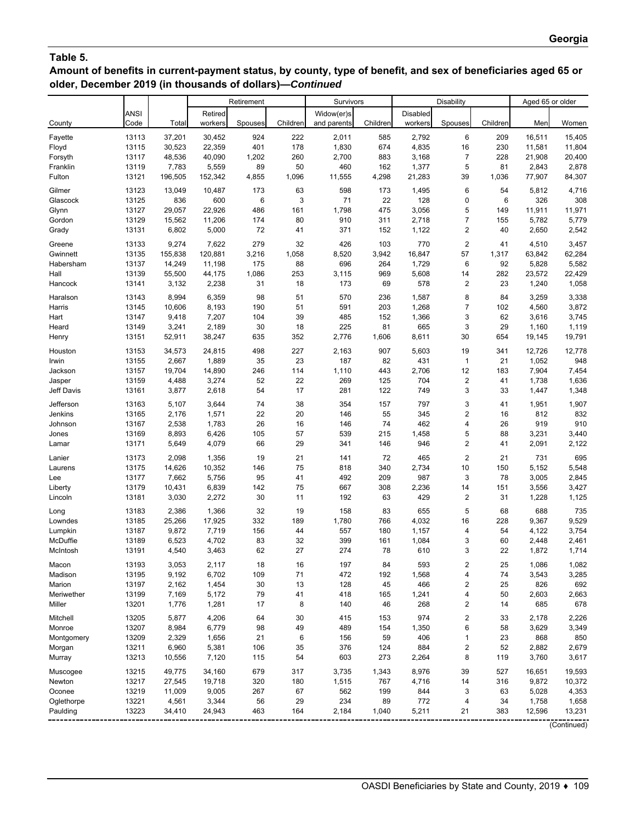# **Table 5.**

**Amount of benefits in current-payment status, by county, type of benefit, and sex of beneficiaries aged 65 or older, December 2019 (in thousands of dollars)—***Continued*

|            |       |         |         | Retirement |          | Survivors   |          |          | Disability              |          | Aged 65 or older |        |
|------------|-------|---------|---------|------------|----------|-------------|----------|----------|-------------------------|----------|------------------|--------|
|            | ANSI  |         | Retired |            |          | Widow(er)s  |          | Disabled |                         |          |                  |        |
| County     | Code  | Total   | workers | Spouses    | Children | and parents | Children | workers  | Spouses                 | Children | Men              | Women  |
| Fayette    | 13113 | 37,201  | 30,452  | 924        | 222      | 2,011       | 585      | 2,792    | 6                       | 209      | 16,511           | 15,405 |
| Floyd      | 13115 | 30,523  | 22,359  | 401        | 178      | 1,830       | 674      | 4,835    | 16                      | 230      | 11,581           | 11,804 |
| Forsyth    | 13117 | 48,536  | 40,090  | 1,202      | 260      | 2,700       | 883      | 3,168    | $\overline{7}$          | 228      | 21,908           | 20,400 |
| Franklin   | 13119 | 7,783   | 5,559   | 89         | 50       | 460         | 162      | 1,377    | 5                       | 81       | 2,843            | 2,878  |
| Fulton     | 13121 | 196,505 | 152,342 | 4,855      | 1,096    | 11,555      | 4,298    | 21,283   | 39                      | 1,036    | 77,907           | 84,307 |
| Gilmer     | 13123 | 13,049  | 10,487  | 173        | 63       | 598         | 173      | 1,495    | 6                       | 54       | 5,812            | 4,716  |
| Glascock   | 13125 | 836     | 600     | 6          | 3        | 71          | 22       | 128      | 0                       | 6        | 326              | 308    |
| Glynn      | 13127 | 29,057  | 22,926  | 486        | 161      | 1,798       | 475      | 3,056    | 5                       | 149      | 11,911           | 11,971 |
| Gordon     | 13129 | 15,562  | 11,206  | 174        | 80       | 910         | 311      | 2,718    | $\overline{7}$          | 155      | 5,782            | 5,779  |
| Grady      | 13131 | 6,802   | 5,000   | 72         | 41       | 371         | 152      | 1,122    | $\overline{\mathbf{c}}$ | 40       | 2,650            | 2,542  |
|            |       |         |         |            |          |             |          |          |                         |          |                  |        |
| Greene     | 13133 | 9,274   | 7,622   | 279        | 32       | 426         | 103      | 770      | $\overline{\mathbf{c}}$ | 41       | 4,510            | 3,457  |
| Gwinnett   | 13135 | 155,838 | 120,881 | 3,216      | 1,058    | 8,520       | 3,942    | 16,847   | 57                      | 1,317    | 63,842           | 62,284 |
| Habersham  | 13137 | 14,249  | 11,198  | 175        | 88       | 696         | 264      | 1,729    | 6                       | 92       | 5,828            | 5,582  |
| Hall       | 13139 | 55,500  | 44,175  | 1,086      | 253      | 3,115       | 969      | 5,608    | 14                      | 282      | 23,572           | 22,429 |
| Hancock    | 13141 | 3,132   | 2,238   | 31         | 18       | 173         | 69       | 578      | 2                       | 23       | 1,240            | 1,058  |
| Haralson   | 13143 | 8,994   | 6,359   | 98         | 51       | 570         | 236      | 1,587    | 8                       | 84       | 3,259            | 3,338  |
| Harris     | 13145 | 10,606  | 8,193   | 190        | 51       | 591         | 203      | 1,268    | $\overline{7}$          | 102      | 4,560            | 3,872  |
| Hart       | 13147 | 9,418   | 7,207   | 104        | 39       | 485         | 152      | 1,366    | 3                       | 62       | 3,616            | 3,745  |
| Heard      | 13149 | 3,241   | 2,189   | 30         | 18       | 225         | 81       | 665      | 3                       | 29       | 1,160            | 1,119  |
| Henry      | 13151 | 52,911  | 38,247  | 635        | 352      | 2,776       | 1,606    | 8,611    | 30                      | 654      | 19,145           | 19,791 |
| Houston    | 13153 | 34,573  | 24,815  | 498        | 227      | 2,163       | 907      | 5,603    | 19                      | 341      | 12,726           | 12,778 |
| Irwin      | 13155 | 2,667   | 1,889   | 35         | 23       | 187         | 82       | 431      | $\mathbf{1}$            | 21       | 1,052            | 948    |
| Jackson    | 13157 | 19,704  | 14,890  | 246        | 114      | 1,110       | 443      | 2,706    | 12                      | 183      | 7,904            | 7,454  |
| Jasper     | 13159 | 4,488   | 3,274   | 52         | 22       | 269         | 125      | 704      | 2                       | 41       | 1,738            | 1,636  |
| Jeff Davis | 13161 | 3,877   | 2,618   | 54         | 17       | 281         | 122      | 749      | 3                       | 33       | 1,447            | 1,348  |
| Jefferson  | 13163 | 5,107   | 3,644   | 74         | 38       | 354         | 157      | 797      | 3                       | 41       | 1,951            | 1,907  |
| Jenkins    | 13165 | 2,176   | 1,571   | 22         | 20       | 146         | 55       | 345      | 2                       | 16       | 812              | 832    |
| Johnson    | 13167 | 2,538   | 1,783   | 26         | 16       | 146         | 74       | 462      | 4                       | 26       | 919              | 910    |
| Jones      | 13169 | 8,893   | 6,426   | 105        | 57       | 539         | 215      | 1,458    | 5                       | 88       | 3,231            | 3,440  |
| Lamar      | 13171 | 5,649   | 4,079   | 66         | 29       | 341         | 146      | 946      | 2                       | 41       | 2,091            | 2,122  |
| Lanier     | 13173 | 2,098   | 1,356   | 19         | 21       | 141         | 72       | 465      | 2                       | 21       | 731              | 695    |
| Laurens    | 13175 | 14,626  | 10,352  | 146        | 75       | 818         | 340      | 2,734    | 10                      | 150      | 5,152            | 5,548  |
| Lee        | 13177 | 7,662   | 5,756   | 95         | 41       | 492         | 209      | 987      | 3                       | 78       | 3,005            | 2,845  |
| Liberty    | 13179 | 10,431  | 6,839   | 142        | 75       | 667         | 308      | 2,236    | 14                      | 151      | 3,556            | 3,427  |
| Lincoln    | 13181 | 3,030   | 2,272   | 30         | 11       | 192         | 63       | 429      | 2                       | 31       | 1,228            | 1,125  |
| Long       | 13183 | 2,386   | 1,366   | 32         | 19       | 158         | 83       | 655      | 5                       | 68       | 688              | 735    |
| Lowndes    | 13185 | 25,266  | 17,925  | 332        | 189      | 1,780       | 766      | 4,032    | 16                      | 228      | 9,367            | 9,529  |
| Lumpkin    | 13187 | 9,872   | 7,719   | 156        | 44       | 557         | 180      | 1,157    | 4                       | 54       | 4,122            | 3,754  |
| McDuffie   | 13189 | 6,523   | 4,702   | 83         | 32       | 399         | 161      | 1,084    | 3                       | 60       | 2,448            | 2,461  |
| McIntosh   | 13191 | 4,540   | 3,463   | 62         | 27       | 274         | 78       | 610      | 3                       | 22       | 1,872            | 1,714  |
| Macon      | 13193 | 3,053   | 2,117   | 18         | 16       | 197         | 84       | 593      | 2                       | 25       | 1,086            | 1,082  |
| Madison    | 13195 | 9,192   | 6,702   | 109        | 71       | 472         | 192      | 1,568    | 4                       | 74       | 3,543            | 3,285  |
| Marion     | 13197 | 2,162   | 1,454   | $30\,$     | 13       | 128         | 45       | 466      | 2                       | 25       | 826              | 692    |
| Meriwether | 13199 | 7,169   | 5,172   | 79         | 41       | 418         | 165      | 1,241    | 4                       | 50       | 2,603            | 2,663  |
| Miller     | 13201 | 1,776   | 1,281   | 17         | 8        | 140         | 46       | 268      | 2                       | 14       | 685              | 678    |
| Mitchell   | 13205 | 5,877   | 4,206   | 64         | 30       | 415         | 153      | 974      | 2                       | 33       | 2,178            | 2,226  |
| Monroe     | 13207 | 8,984   | 6,779   | 98         | 49       | 489         | 154      | 1,350    | 6                       | 58       | 3,629            | 3,349  |
| Montgomery | 13209 | 2,329   | 1,656   | 21         | 6        | 156         | 59       | 406      | $\mathbf{1}$            | 23       | 868              | 850    |
| Morgan     | 13211 | 6,960   | 5,381   | 106        | 35       | 376         | 124      | 884      | 2                       | 52       | 2,882            | 2,679  |
| Murray     | 13213 | 10,556  | 7,120   | 115        | 54       | 603         | 273      | 2,264    | 8                       | 119      | 3,760            | 3,617  |
| Muscogee   | 13215 | 49,775  | 34,160  | 679        | 317      | 3,735       | 1,343    | 8,976    | 39                      | 527      | 16,651           | 19,593 |
| Newton     | 13217 | 27,545  | 19,718  | 320        | 180      | 1,515       | 767      | 4,716    | 14                      | 316      | 9,872            | 10,372 |
| Oconee     | 13219 | 11,009  | 9,005   | 267        | 67       | 562         | 199      | 844      | 3                       | 63       | 5,028            | 4,353  |
| Oglethorpe | 13221 | 4,561   | 3,344   | 56         | 29       | 234         | 89       | 772      | 4                       | 34       | 1,758            | 1,658  |
| Paulding   | 13223 | 34,410  | 24,943  | 463        | 164      | 2,184       | 1,040    | 5,211    | 21                      | 383      | 12,596           | 13,231 |

(Continued)